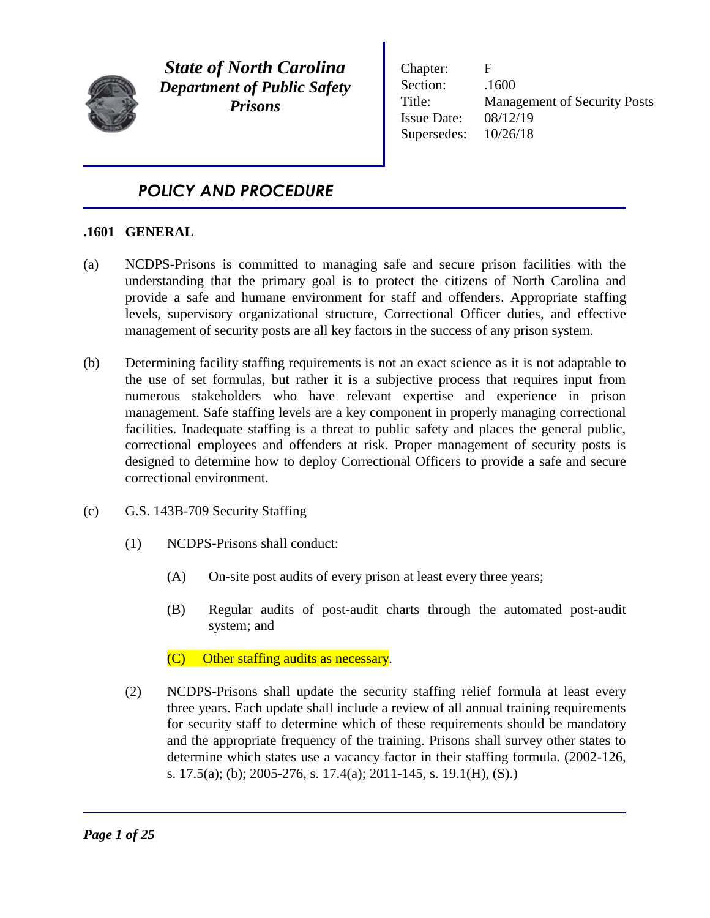

*State of North Carolina Department of Public Safety Prisons*

Chapter: F Section:  $.1600$ Title: Management of Security Posts Issue Date: 08/12/19 Supersedes: 10/26/18

# *POLICY AND PROCEDURE*

# **.1601 GENERAL**

- (a) NCDPS-Prisons is committed to managing safe and secure prison facilities with the understanding that the primary goal is to protect the citizens of North Carolina and provide a safe and humane environment for staff and offenders. Appropriate staffing levels, supervisory organizational structure, Correctional Officer duties, and effective management of security posts are all key factors in the success of any prison system.
- (b) Determining facility staffing requirements is not an exact science as it is not adaptable to the use of set formulas, but rather it is a subjective process that requires input from numerous stakeholders who have relevant expertise and experience in prison management. Safe staffing levels are a key component in properly managing correctional facilities. Inadequate staffing is a threat to public safety and places the general public, correctional employees and offenders at risk. Proper management of security posts is designed to determine how to deploy Correctional Officers to provide a safe and secure correctional environment.
- (c) G.S. 143B-709 Security Staffing
	- (1) NCDPS-Prisons shall conduct:
		- (A) On-site post audits of every prison at least every three years;
		- (B) Regular audits of post-audit charts through the automated post-audit system; and

(C) Other staffing audits as necessary.

(2) NCDPS-Prisons shall update the security staffing relief formula at least every three years. Each update shall include a review of all annual training requirements for security staff to determine which of these requirements should be mandatory and the appropriate frequency of the training. Prisons shall survey other states to determine which states use a vacancy factor in their staffing formula. (2002-126, s. 17.5(a); (b); 2005-276, s. 17.4(a); 2011-145, s. 19.1(H), (S).)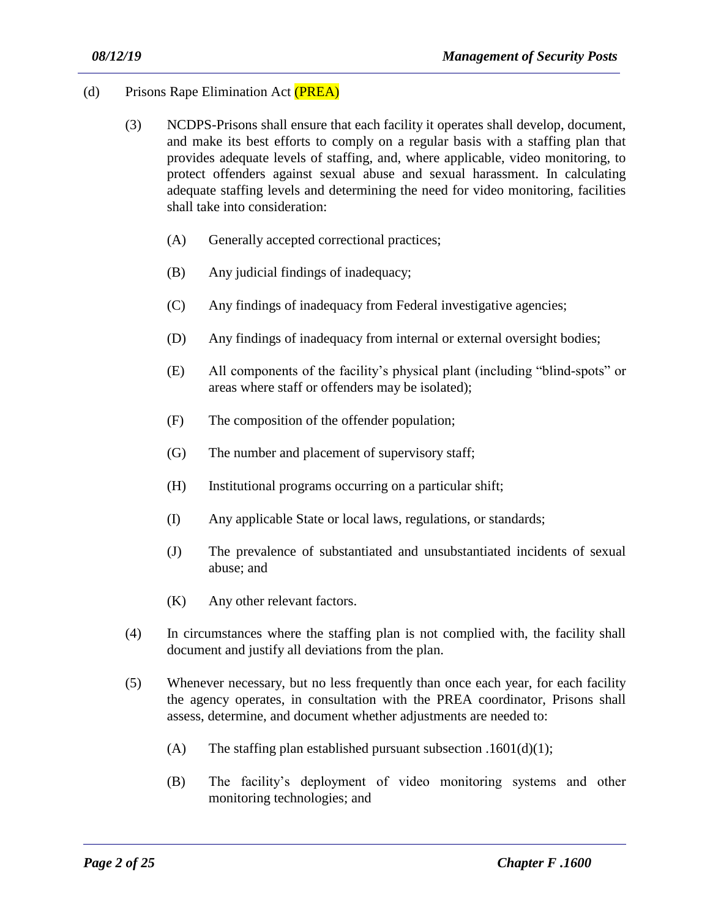- (d) Prisons Rape Elimination Act (PREA)
	- (3) NCDPS-Prisons shall ensure that each facility it operates shall develop, document, and make its best efforts to comply on a regular basis with a staffing plan that provides adequate levels of staffing, and, where applicable, video monitoring, to protect offenders against sexual abuse and sexual harassment. In calculating adequate staffing levels and determining the need for video monitoring, facilities shall take into consideration:
		- (A) Generally accepted correctional practices;
		- (B) Any judicial findings of inadequacy;
		- (C) Any findings of inadequacy from Federal investigative agencies;
		- (D) Any findings of inadequacy from internal or external oversight bodies;
		- (E) All components of the facility's physical plant (including "blind-spots" or areas where staff or offenders may be isolated);
		- (F) The composition of the offender population;
		- (G) The number and placement of supervisory staff;
		- (H) Institutional programs occurring on a particular shift;
		- (I) Any applicable State or local laws, regulations, or standards;
		- (J) The prevalence of substantiated and unsubstantiated incidents of sexual abuse; and
		- (K) Any other relevant factors.
	- (4) In circumstances where the staffing plan is not complied with, the facility shall document and justify all deviations from the plan.
	- (5) Whenever necessary, but no less frequently than once each year, for each facility the agency operates, in consultation with the PREA coordinator, Prisons shall assess, determine, and document whether adjustments are needed to:
		- (A) The staffing plan established pursuant subsection .1601(d)(1);

(B) The facility's deployment of video monitoring systems and other monitoring technologies; and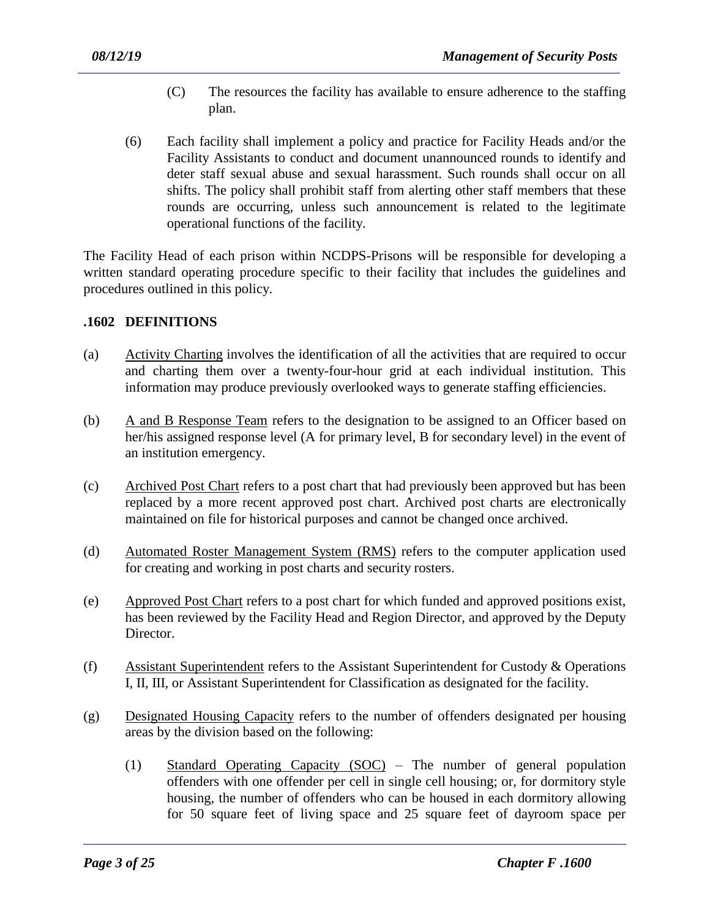- (C) The resources the facility has available to ensure adherence to the staffing plan.
- (6) Each facility shall implement a policy and practice for Facility Heads and/or the Facility Assistants to conduct and document unannounced rounds to identify and deter staff sexual abuse and sexual harassment. Such rounds shall occur on all shifts. The policy shall prohibit staff from alerting other staff members that these rounds are occurring, unless such announcement is related to the legitimate operational functions of the facility.

The Facility Head of each prison within NCDPS-Prisons will be responsible for developing a written standard operating procedure specific to their facility that includes the guidelines and procedures outlined in this policy.

#### **.1602 DEFINITIONS**

- (a) Activity Charting involves the identification of all the activities that are required to occur and charting them over a twenty-four-hour grid at each individual institution. This information may produce previously overlooked ways to generate staffing efficiencies.
- (b) A and B Response Team refers to the designation to be assigned to an Officer based on her/his assigned response level (A for primary level, B for secondary level) in the event of an institution emergency.
- (c) Archived Post Chart refers to a post chart that had previously been approved but has been replaced by a more recent approved post chart. Archived post charts are electronically maintained on file for historical purposes and cannot be changed once archived.
- (d) Automated Roster Management System (RMS) refers to the computer application used for creating and working in post charts and security rosters.
- (e) Approved Post Chart refers to a post chart for which funded and approved positions exist, has been reviewed by the Facility Head and Region Director, and approved by the Deputy Director.
- (f) Assistant Superintendent refers to the Assistant Superintendent for Custody & Operations I, II, III, or Assistant Superintendent for Classification as designated for the facility.
- (g) Designated Housing Capacity refers to the number of offenders designated per housing areas by the division based on the following:

(1) Standard Operating Capacity (SOC) – The number of general population offenders with one offender per cell in single cell housing; or, for dormitory style housing, the number of offenders who can be housed in each dormitory allowing for 50 square feet of living space and 25 square feet of dayroom space per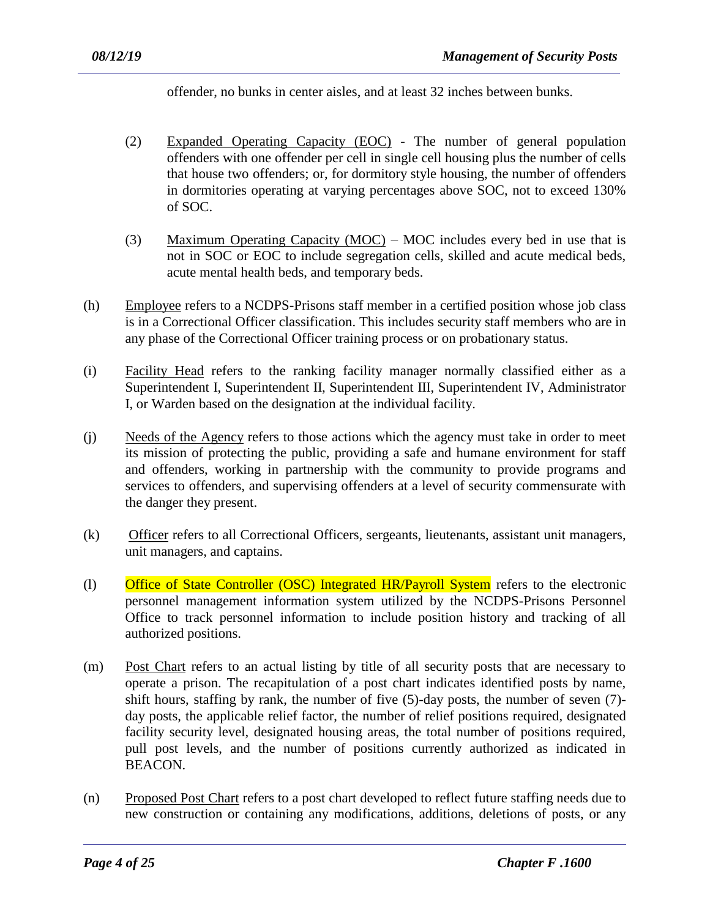offender, no bunks in center aisles, and at least 32 inches between bunks.

- (2) Expanded Operating Capacity (EOC) The number of general population offenders with one offender per cell in single cell housing plus the number of cells that house two offenders; or, for dormitory style housing, the number of offenders in dormitories operating at varying percentages above SOC, not to exceed 130% of SOC.
- (3) Maximum Operating Capacity  $(MOC)$  MOC includes every bed in use that is not in SOC or EOC to include segregation cells, skilled and acute medical beds, acute mental health beds, and temporary beds.
- (h) Employee refers to a NCDPS-Prisons staff member in a certified position whose job class is in a Correctional Officer classification. This includes security staff members who are in any phase of the Correctional Officer training process or on probationary status.
- (i) Facility Head refers to the ranking facility manager normally classified either as a Superintendent I, Superintendent II, Superintendent III, Superintendent IV, Administrator I, or Warden based on the designation at the individual facility.
- (j) Needs of the Agency refers to those actions which the agency must take in order to meet its mission of protecting the public, providing a safe and humane environment for staff and offenders, working in partnership with the community to provide programs and services to offenders, and supervising offenders at a level of security commensurate with the danger they present.
- (k) Officer refers to all Correctional Officers, sergeants, lieutenants, assistant unit managers, unit managers, and captains.
- (l) Office of State Controller (OSC) Integrated HR/Payroll System refers to the electronic personnel management information system utilized by the NCDPS-Prisons Personnel Office to track personnel information to include position history and tracking of all authorized positions.
- (m) Post Chart refers to an actual listing by title of all security posts that are necessary to operate a prison. The recapitulation of a post chart indicates identified posts by name, shift hours, staffing by rank, the number of five (5)-day posts, the number of seven (7) day posts, the applicable relief factor, the number of relief positions required, designated facility security level, designated housing areas, the total number of positions required, pull post levels, and the number of positions currently authorized as indicated in BEACON.
- (n) Proposed Post Chart refers to a post chart developed to reflect future staffing needs due to new construction or containing any modifications, additions, deletions of posts, or any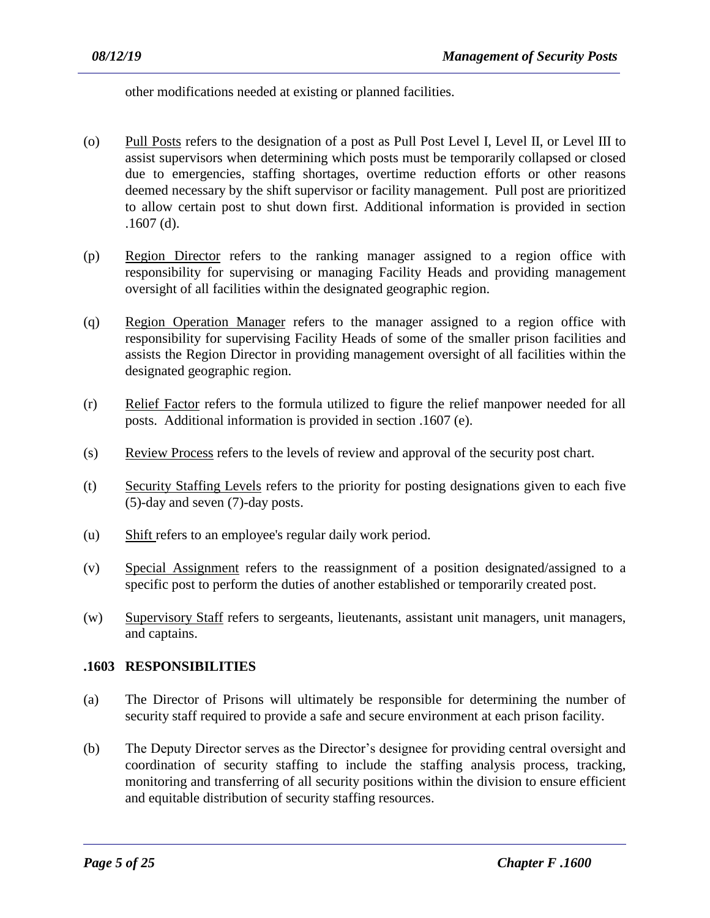other modifications needed at existing or planned facilities.

- (o) Pull Posts refers to the designation of a post as Pull Post Level I, Level II, or Level III to assist supervisors when determining which posts must be temporarily collapsed or closed due to emergencies, staffing shortages, overtime reduction efforts or other reasons deemed necessary by the shift supervisor or facility management. Pull post are prioritized to allow certain post to shut down first. Additional information is provided in section .1607 (d).
- (p) Region Director refers to the ranking manager assigned to a region office with responsibility for supervising or managing Facility Heads and providing management oversight of all facilities within the designated geographic region.
- (q) Region Operation Manager refers to the manager assigned to a region office with responsibility for supervising Facility Heads of some of the smaller prison facilities and assists the Region Director in providing management oversight of all facilities within the designated geographic region.
- (r) Relief Factor refers to the formula utilized to figure the relief manpower needed for all posts. Additional information is provided in section .1607 (e).
- (s) Review Process refers to the levels of review and approval of the security post chart.
- (t) Security Staffing Levels refers to the priority for posting designations given to each five (5)-day and seven (7)-day posts.
- (u) Shift refers to an employee's regular daily work period.
- (v) Special Assignment refers to the reassignment of a position designated/assigned to a specific post to perform the duties of another established or temporarily created post.
- (w) Supervisory Staff refers to sergeants, lieutenants, assistant unit managers, unit managers, and captains.

#### **.1603 RESPONSIBILITIES**

- (a) The Director of Prisons will ultimately be responsible for determining the number of security staff required to provide a safe and secure environment at each prison facility.
- (b) The Deputy Director serves as the Director's designee for providing central oversight and coordination of security staffing to include the staffing analysis process, tracking, monitoring and transferring of all security positions within the division to ensure efficient and equitable distribution of security staffing resources.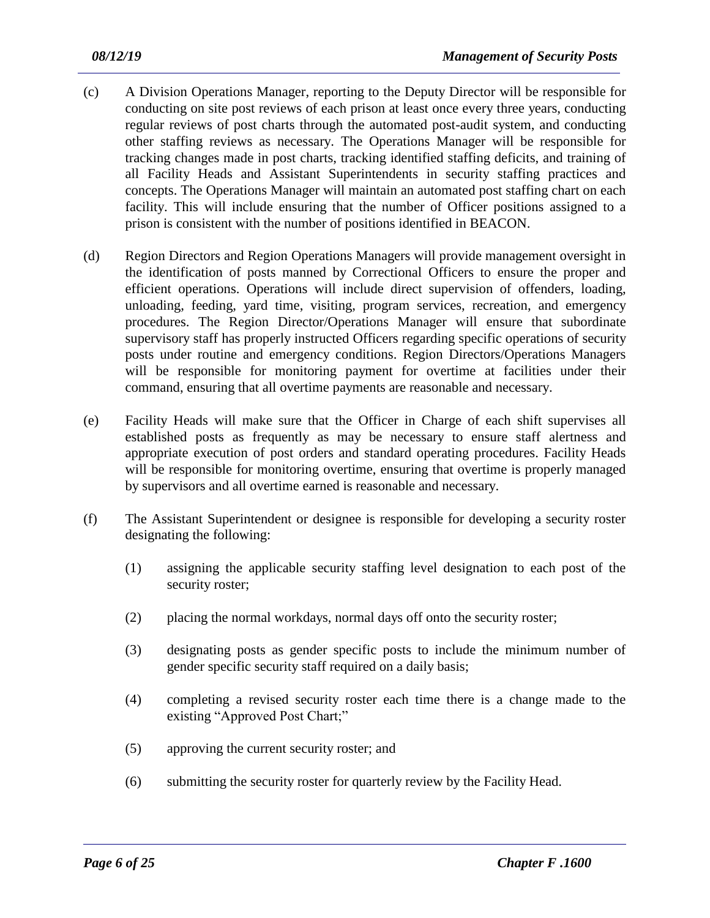- (c) A Division Operations Manager, reporting to the Deputy Director will be responsible for conducting on site post reviews of each prison at least once every three years, conducting regular reviews of post charts through the automated post-audit system, and conducting other staffing reviews as necessary. The Operations Manager will be responsible for tracking changes made in post charts, tracking identified staffing deficits, and training of all Facility Heads and Assistant Superintendents in security staffing practices and concepts. The Operations Manager will maintain an automated post staffing chart on each facility. This will include ensuring that the number of Officer positions assigned to a prison is consistent with the number of positions identified in BEACON.
- (d) Region Directors and Region Operations Managers will provide management oversight in the identification of posts manned by Correctional Officers to ensure the proper and efficient operations. Operations will include direct supervision of offenders, loading, unloading, feeding, yard time, visiting, program services, recreation, and emergency procedures. The Region Director/Operations Manager will ensure that subordinate supervisory staff has properly instructed Officers regarding specific operations of security posts under routine and emergency conditions. Region Directors/Operations Managers will be responsible for monitoring payment for overtime at facilities under their command, ensuring that all overtime payments are reasonable and necessary.
- (e) Facility Heads will make sure that the Officer in Charge of each shift supervises all established posts as frequently as may be necessary to ensure staff alertness and appropriate execution of post orders and standard operating procedures. Facility Heads will be responsible for monitoring overtime, ensuring that overtime is properly managed by supervisors and all overtime earned is reasonable and necessary.
- (f) The Assistant Superintendent or designee is responsible for developing a security roster designating the following:
	- (1) assigning the applicable security staffing level designation to each post of the security roster;
	- (2) placing the normal workdays, normal days off onto the security roster;
	- (3) designating posts as gender specific posts to include the minimum number of gender specific security staff required on a daily basis;
	- (4) completing a revised security roster each time there is a change made to the existing "Approved Post Chart;"
	- (5) approving the current security roster; and
	- (6) submitting the security roster for quarterly review by the Facility Head.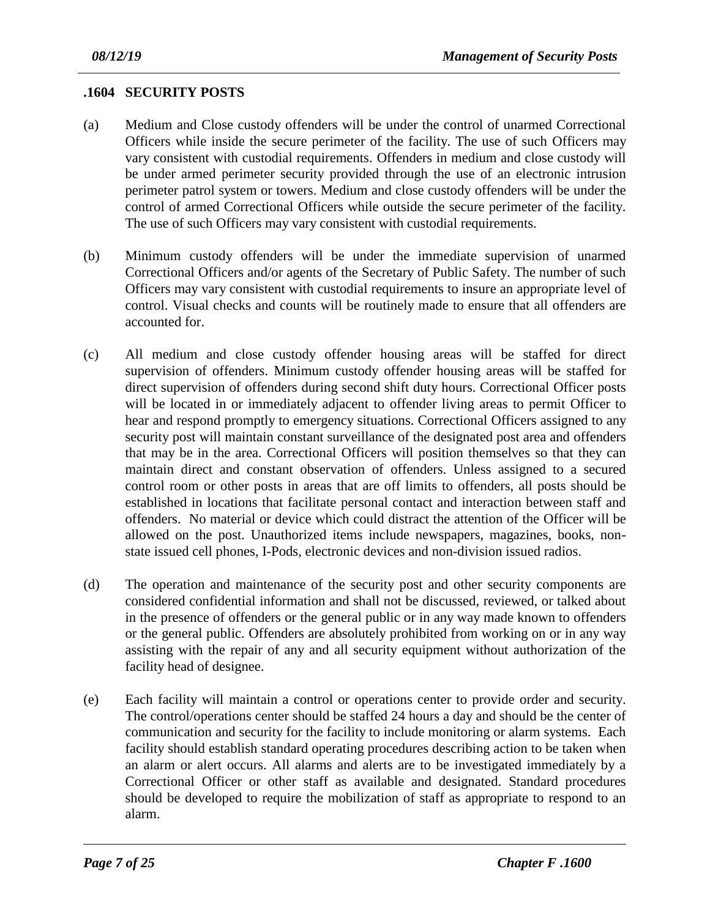#### **.1604 SECURITY POSTS**

- (a) Medium and Close custody offenders will be under the control of unarmed Correctional Officers while inside the secure perimeter of the facility. The use of such Officers may vary consistent with custodial requirements. Offenders in medium and close custody will be under armed perimeter security provided through the use of an electronic intrusion perimeter patrol system or towers. Medium and close custody offenders will be under the control of armed Correctional Officers while outside the secure perimeter of the facility. The use of such Officers may vary consistent with custodial requirements.
- (b) Minimum custody offenders will be under the immediate supervision of unarmed Correctional Officers and/or agents of the Secretary of Public Safety. The number of such Officers may vary consistent with custodial requirements to insure an appropriate level of control. Visual checks and counts will be routinely made to ensure that all offenders are accounted for.
- (c) All medium and close custody offender housing areas will be staffed for direct supervision of offenders. Minimum custody offender housing areas will be staffed for direct supervision of offenders during second shift duty hours. Correctional Officer posts will be located in or immediately adjacent to offender living areas to permit Officer to hear and respond promptly to emergency situations. Correctional Officers assigned to any security post will maintain constant surveillance of the designated post area and offenders that may be in the area. Correctional Officers will position themselves so that they can maintain direct and constant observation of offenders. Unless assigned to a secured control room or other posts in areas that are off limits to offenders, all posts should be established in locations that facilitate personal contact and interaction between staff and offenders. No material or device which could distract the attention of the Officer will be allowed on the post. Unauthorized items include newspapers, magazines, books, nonstate issued cell phones, I-Pods, electronic devices and non-division issued radios.
- (d) The operation and maintenance of the security post and other security components are considered confidential information and shall not be discussed, reviewed, or talked about in the presence of offenders or the general public or in any way made known to offenders or the general public. Offenders are absolutely prohibited from working on or in any way assisting with the repair of any and all security equipment without authorization of the facility head of designee.
- (e) Each facility will maintain a control or operations center to provide order and security. The control/operations center should be staffed 24 hours a day and should be the center of communication and security for the facility to include monitoring or alarm systems. Each facility should establish standard operating procedures describing action to be taken when an alarm or alert occurs. All alarms and alerts are to be investigated immediately by a Correctional Officer or other staff as available and designated. Standard procedures should be developed to require the mobilization of staff as appropriate to respond to an alarm.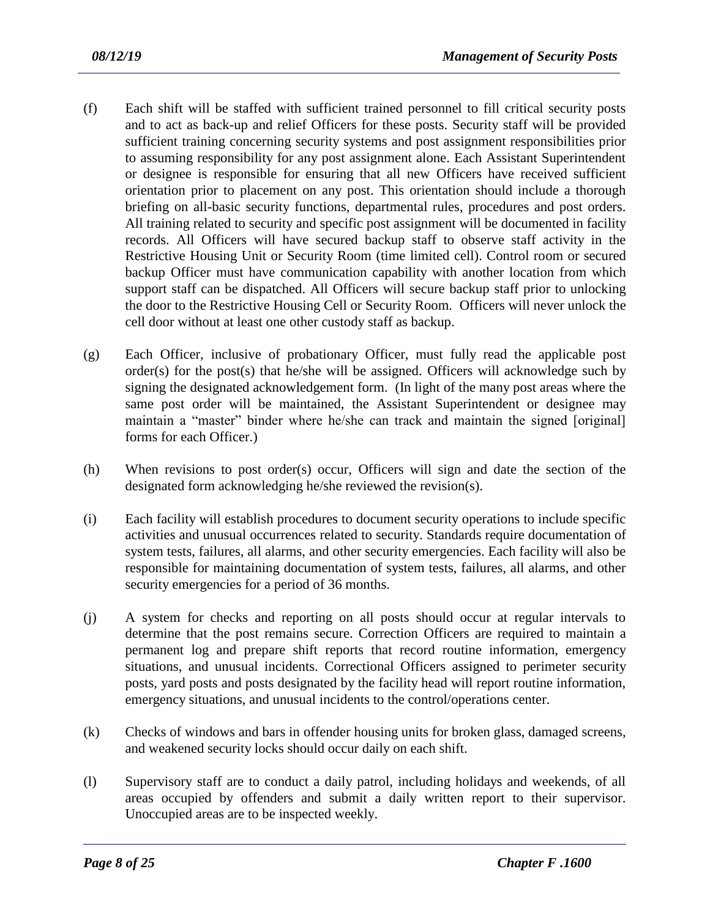- (f) Each shift will be staffed with sufficient trained personnel to fill critical security posts and to act as back-up and relief Officers for these posts. Security staff will be provided sufficient training concerning security systems and post assignment responsibilities prior to assuming responsibility for any post assignment alone. Each Assistant Superintendent or designee is responsible for ensuring that all new Officers have received sufficient orientation prior to placement on any post. This orientation should include a thorough briefing on all-basic security functions, departmental rules, procedures and post orders. All training related to security and specific post assignment will be documented in facility records. All Officers will have secured backup staff to observe staff activity in the Restrictive Housing Unit or Security Room (time limited cell). Control room or secured backup Officer must have communication capability with another location from which support staff can be dispatched. All Officers will secure backup staff prior to unlocking the door to the Restrictive Housing Cell or Security Room. Officers will never unlock the cell door without at least one other custody staff as backup.
- (g) Each Officer, inclusive of probationary Officer, must fully read the applicable post order(s) for the post(s) that he/she will be assigned. Officers will acknowledge such by signing the designated acknowledgement form. (In light of the many post areas where the same post order will be maintained, the Assistant Superintendent or designee may maintain a "master" binder where he/she can track and maintain the signed [original] forms for each Officer.)
- (h) When revisions to post order(s) occur, Officers will sign and date the section of the designated form acknowledging he/she reviewed the revision(s).
- (i) Each facility will establish procedures to document security operations to include specific activities and unusual occurrences related to security. Standards require documentation of system tests, failures, all alarms, and other security emergencies. Each facility will also be responsible for maintaining documentation of system tests, failures, all alarms, and other security emergencies for a period of 36 months.
- (j) A system for checks and reporting on all posts should occur at regular intervals to determine that the post remains secure. Correction Officers are required to maintain a permanent log and prepare shift reports that record routine information, emergency situations, and unusual incidents. Correctional Officers assigned to perimeter security posts, yard posts and posts designated by the facility head will report routine information, emergency situations, and unusual incidents to the control/operations center.
- (k) Checks of windows and bars in offender housing units for broken glass, damaged screens, and weakened security locks should occur daily on each shift.
- (l) Supervisory staff are to conduct a daily patrol, including holidays and weekends, of all areas occupied by offenders and submit a daily written report to their supervisor. Unoccupied areas are to be inspected weekly.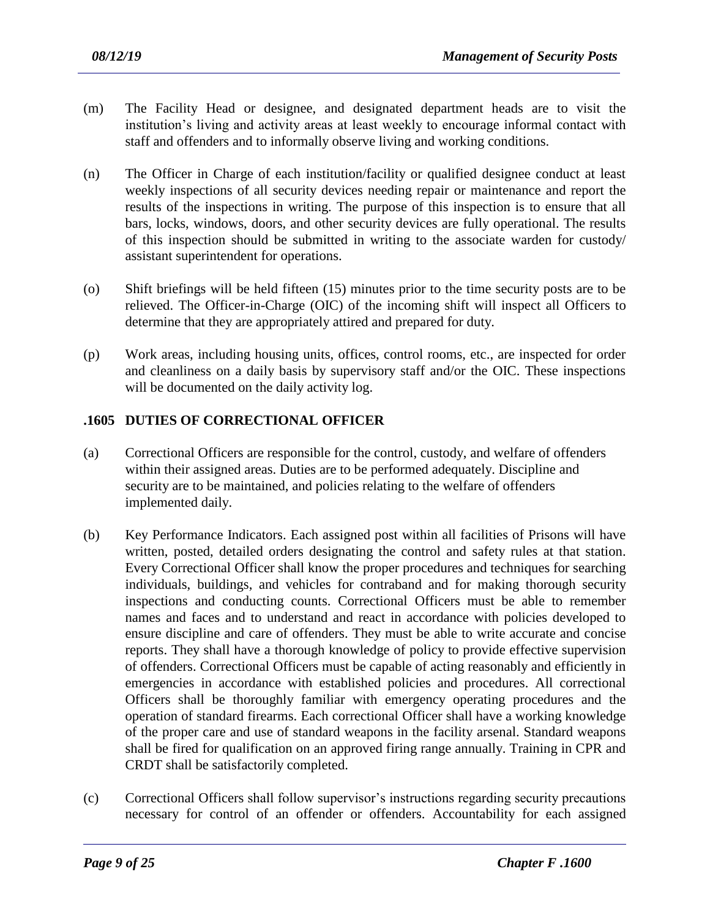- (m) The Facility Head or designee, and designated department heads are to visit the institution's living and activity areas at least weekly to encourage informal contact with staff and offenders and to informally observe living and working conditions.
- (n) The Officer in Charge of each institution/facility or qualified designee conduct at least weekly inspections of all security devices needing repair or maintenance and report the results of the inspections in writing. The purpose of this inspection is to ensure that all bars, locks, windows, doors, and other security devices are fully operational. The results of this inspection should be submitted in writing to the associate warden for custody/ assistant superintendent for operations.
- (o) Shift briefings will be held fifteen (15) minutes prior to the time security posts are to be relieved. The Officer-in-Charge (OIC) of the incoming shift will inspect all Officers to determine that they are appropriately attired and prepared for duty.
- (p) Work areas, including housing units, offices, control rooms, etc., are inspected for order and cleanliness on a daily basis by supervisory staff and/or the OIC. These inspections will be documented on the daily activity log.

# **.1605 DUTIES OF CORRECTIONAL OFFICER**

- (a) Correctional Officers are responsible for the control, custody, and welfare of offenders within their assigned areas. Duties are to be performed adequately. Discipline and security are to be maintained, and policies relating to the welfare of offenders implemented daily.
- (b) Key Performance Indicators. Each assigned post within all facilities of Prisons will have written, posted, detailed orders designating the control and safety rules at that station. Every Correctional Officer shall know the proper procedures and techniques for searching individuals, buildings, and vehicles for contraband and for making thorough security inspections and conducting counts. Correctional Officers must be able to remember names and faces and to understand and react in accordance with policies developed to ensure discipline and care of offenders. They must be able to write accurate and concise reports. They shall have a thorough knowledge of policy to provide effective supervision of offenders. Correctional Officers must be capable of acting reasonably and efficiently in emergencies in accordance with established policies and procedures. All correctional Officers shall be thoroughly familiar with emergency operating procedures and the operation of standard firearms. Each correctional Officer shall have a working knowledge of the proper care and use of standard weapons in the facility arsenal. Standard weapons shall be fired for qualification on an approved firing range annually. Training in CPR and CRDT shall be satisfactorily completed.
- (c) Correctional Officers shall follow supervisor's instructions regarding security precautions necessary for control of an offender or offenders. Accountability for each assigned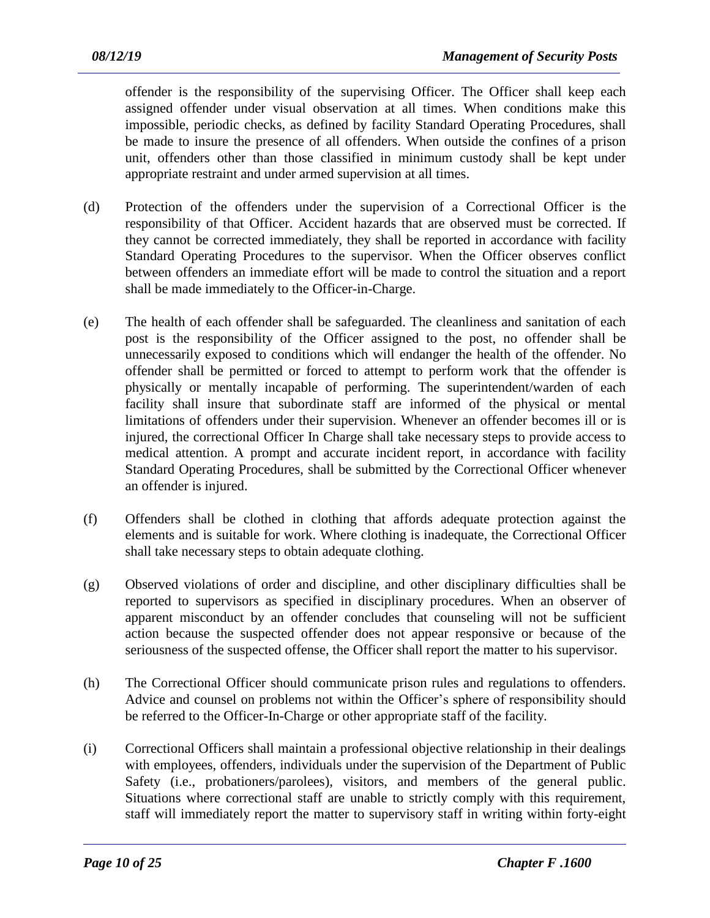offender is the responsibility of the supervising Officer. The Officer shall keep each assigned offender under visual observation at all times. When conditions make this impossible, periodic checks, as defined by facility Standard Operating Procedures, shall be made to insure the presence of all offenders. When outside the confines of a prison unit, offenders other than those classified in minimum custody shall be kept under appropriate restraint and under armed supervision at all times.

- (d) Protection of the offenders under the supervision of a Correctional Officer is the responsibility of that Officer. Accident hazards that are observed must be corrected. If they cannot be corrected immediately, they shall be reported in accordance with facility Standard Operating Procedures to the supervisor. When the Officer observes conflict between offenders an immediate effort will be made to control the situation and a report shall be made immediately to the Officer-in-Charge.
- (e) The health of each offender shall be safeguarded. The cleanliness and sanitation of each post is the responsibility of the Officer assigned to the post, no offender shall be unnecessarily exposed to conditions which will endanger the health of the offender. No offender shall be permitted or forced to attempt to perform work that the offender is physically or mentally incapable of performing. The superintendent/warden of each facility shall insure that subordinate staff are informed of the physical or mental limitations of offenders under their supervision. Whenever an offender becomes ill or is injured, the correctional Officer In Charge shall take necessary steps to provide access to medical attention. A prompt and accurate incident report, in accordance with facility Standard Operating Procedures, shall be submitted by the Correctional Officer whenever an offender is injured.
- (f) Offenders shall be clothed in clothing that affords adequate protection against the elements and is suitable for work. Where clothing is inadequate, the Correctional Officer shall take necessary steps to obtain adequate clothing.
- (g) Observed violations of order and discipline, and other disciplinary difficulties shall be reported to supervisors as specified in disciplinary procedures. When an observer of apparent misconduct by an offender concludes that counseling will not be sufficient action because the suspected offender does not appear responsive or because of the seriousness of the suspected offense, the Officer shall report the matter to his supervisor.
- (h) The Correctional Officer should communicate prison rules and regulations to offenders. Advice and counsel on problems not within the Officer's sphere of responsibility should be referred to the Officer-In-Charge or other appropriate staff of the facility.
- (i) Correctional Officers shall maintain a professional objective relationship in their dealings with employees, offenders, individuals under the supervision of the Department of Public Safety (i.e., probationers/parolees), visitors, and members of the general public. Situations where correctional staff are unable to strictly comply with this requirement, staff will immediately report the matter to supervisory staff in writing within forty-eight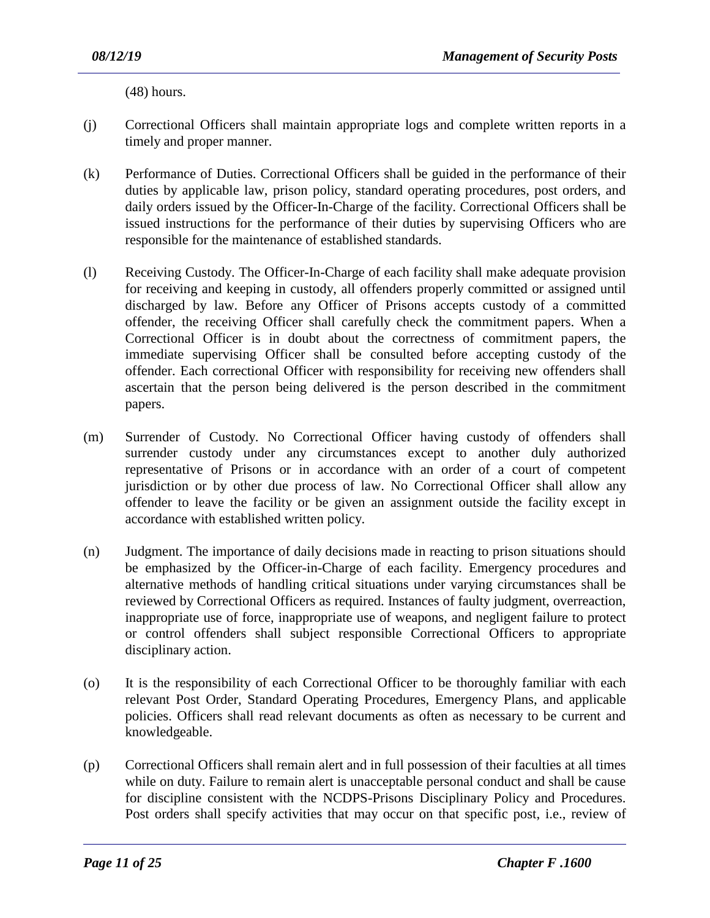(48) hours.

- (j) Correctional Officers shall maintain appropriate logs and complete written reports in a timely and proper manner.
- (k) Performance of Duties. Correctional Officers shall be guided in the performance of their duties by applicable law, prison policy, standard operating procedures, post orders, and daily orders issued by the Officer-In-Charge of the facility. Correctional Officers shall be issued instructions for the performance of their duties by supervising Officers who are responsible for the maintenance of established standards.
- (l) Receiving Custody. The Officer-In-Charge of each facility shall make adequate provision for receiving and keeping in custody, all offenders properly committed or assigned until discharged by law. Before any Officer of Prisons accepts custody of a committed offender, the receiving Officer shall carefully check the commitment papers. When a Correctional Officer is in doubt about the correctness of commitment papers, the immediate supervising Officer shall be consulted before accepting custody of the offender. Each correctional Officer with responsibility for receiving new offenders shall ascertain that the person being delivered is the person described in the commitment papers.
- (m) Surrender of Custody. No Correctional Officer having custody of offenders shall surrender custody under any circumstances except to another duly authorized representative of Prisons or in accordance with an order of a court of competent jurisdiction or by other due process of law. No Correctional Officer shall allow any offender to leave the facility or be given an assignment outside the facility except in accordance with established written policy.
- (n) Judgment. The importance of daily decisions made in reacting to prison situations should be emphasized by the Officer-in-Charge of each facility. Emergency procedures and alternative methods of handling critical situations under varying circumstances shall be reviewed by Correctional Officers as required. Instances of faulty judgment, overreaction, inappropriate use of force, inappropriate use of weapons, and negligent failure to protect or control offenders shall subject responsible Correctional Officers to appropriate disciplinary action.
- (o) It is the responsibility of each Correctional Officer to be thoroughly familiar with each relevant Post Order, Standard Operating Procedures, Emergency Plans, and applicable policies. Officers shall read relevant documents as often as necessary to be current and knowledgeable.
- (p) Correctional Officers shall remain alert and in full possession of their faculties at all times while on duty. Failure to remain alert is unacceptable personal conduct and shall be cause for discipline consistent with the NCDPS-Prisons Disciplinary Policy and Procedures. Post orders shall specify activities that may occur on that specific post, i.e., review of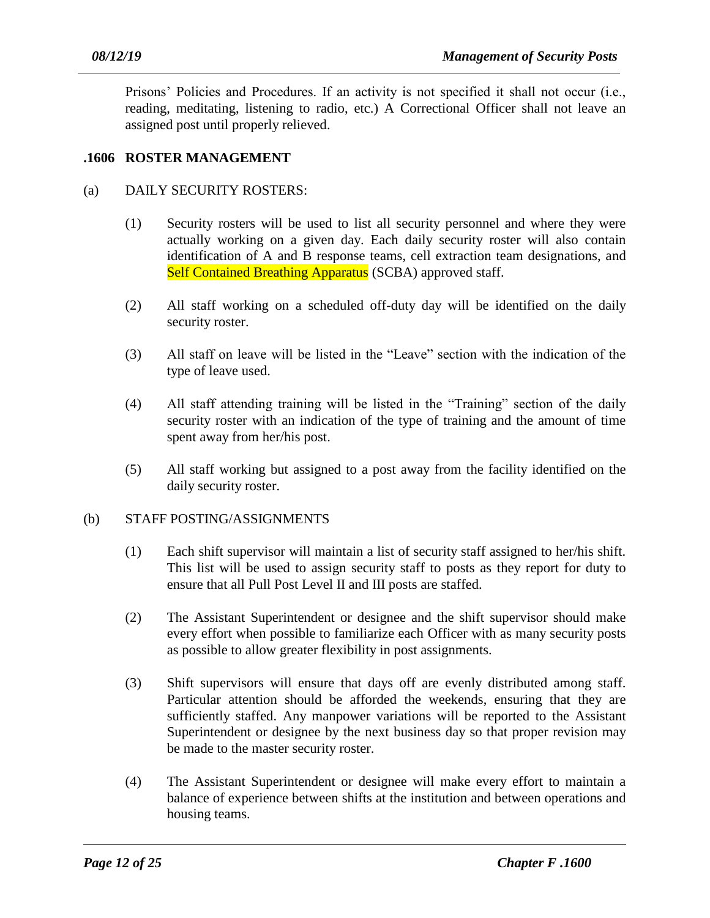Prisons' Policies and Procedures. If an activity is not specified it shall not occur (i.e., reading, meditating, listening to radio, etc.) A Correctional Officer shall not leave an assigned post until properly relieved.

# **.1606 ROSTER MANAGEMENT**

#### (a) DAILY SECURITY ROSTERS:

- (1) Security rosters will be used to list all security personnel and where they were actually working on a given day. Each daily security roster will also contain identification of A and B response teams, cell extraction team designations, and Self Contained Breathing Apparatus (SCBA) approved staff.
- (2) All staff working on a scheduled off-duty day will be identified on the daily security roster.
- (3) All staff on leave will be listed in the "Leave" section with the indication of the type of leave used.
- (4) All staff attending training will be listed in the "Training" section of the daily security roster with an indication of the type of training and the amount of time spent away from her/his post.
- (5) All staff working but assigned to a post away from the facility identified on the daily security roster.

#### (b) STAFF POSTING/ASSIGNMENTS

- (1) Each shift supervisor will maintain a list of security staff assigned to her/his shift. This list will be used to assign security staff to posts as they report for duty to ensure that all Pull Post Level II and III posts are staffed.
- (2) The Assistant Superintendent or designee and the shift supervisor should make every effort when possible to familiarize each Officer with as many security posts as possible to allow greater flexibility in post assignments.
- (3) Shift supervisors will ensure that days off are evenly distributed among staff. Particular attention should be afforded the weekends, ensuring that they are sufficiently staffed. Any manpower variations will be reported to the Assistant Superintendent or designee by the next business day so that proper revision may be made to the master security roster.
- (4) The Assistant Superintendent or designee will make every effort to maintain a balance of experience between shifts at the institution and between operations and housing teams.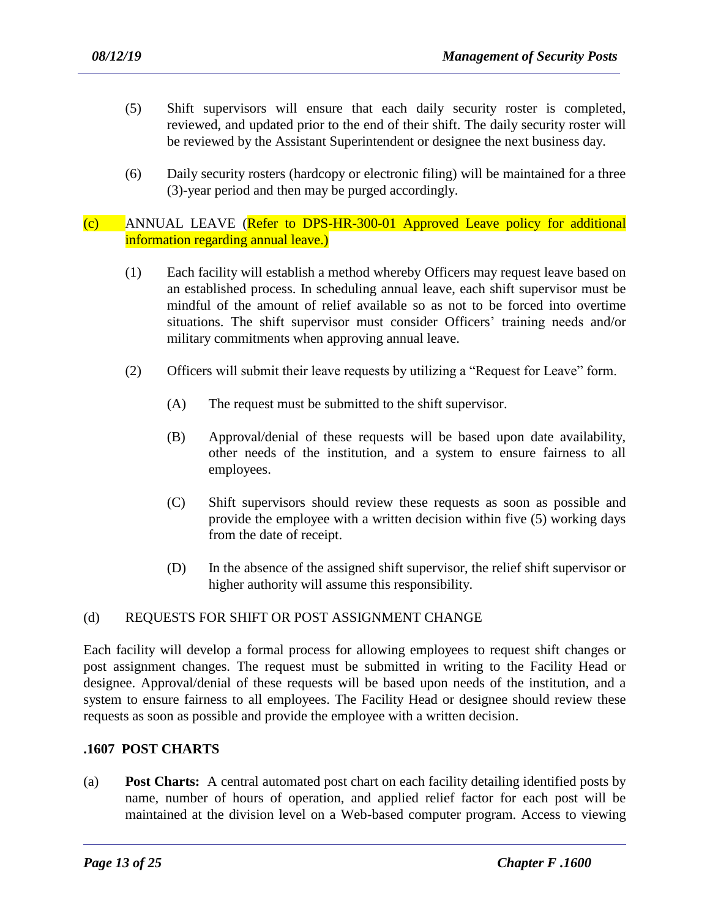- (5) Shift supervisors will ensure that each daily security roster is completed, reviewed, and updated prior to the end of their shift. The daily security roster will be reviewed by the Assistant Superintendent or designee the next business day.
- (6) Daily security rosters (hardcopy or electronic filing) will be maintained for a three (3)-year period and then may be purged accordingly.

#### (c) ANNUAL LEAVE (Refer to DPS-HR-300-01 Approved Leave policy for additional information regarding annual leave.)

- (1) Each facility will establish a method whereby Officers may request leave based on an established process. In scheduling annual leave, each shift supervisor must be mindful of the amount of relief available so as not to be forced into overtime situations. The shift supervisor must consider Officers' training needs and/or military commitments when approving annual leave.
- (2) Officers will submit their leave requests by utilizing a "Request for Leave" form.
	- (A) The request must be submitted to the shift supervisor.
	- (B) Approval/denial of these requests will be based upon date availability, other needs of the institution, and a system to ensure fairness to all employees.
	- (C) Shift supervisors should review these requests as soon as possible and provide the employee with a written decision within five (5) working days from the date of receipt.
	- (D) In the absence of the assigned shift supervisor, the relief shift supervisor or higher authority will assume this responsibility.

# (d) REQUESTS FOR SHIFT OR POST ASSIGNMENT CHANGE

Each facility will develop a formal process for allowing employees to request shift changes or post assignment changes. The request must be submitted in writing to the Facility Head or designee. Approval/denial of these requests will be based upon needs of the institution, and a system to ensure fairness to all employees. The Facility Head or designee should review these requests as soon as possible and provide the employee with a written decision.

# **.1607 POST CHARTS**

(a) **Post Charts:** A central automated post chart on each facility detailing identified posts by name, number of hours of operation, and applied relief factor for each post will be maintained at the division level on a Web-based computer program. Access to viewing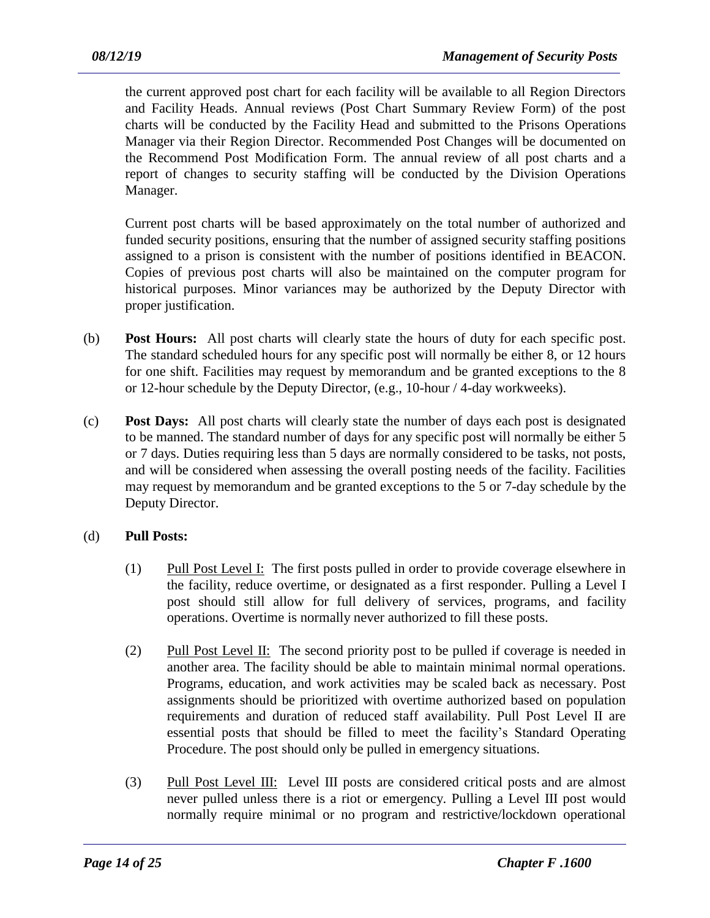the current approved post chart for each facility will be available to all Region Directors and Facility Heads. Annual reviews (Post Chart Summary Review Form) of the post charts will be conducted by the Facility Head and submitted to the Prisons Operations Manager via their Region Director. Recommended Post Changes will be documented on the Recommend Post Modification Form. The annual review of all post charts and a report of changes to security staffing will be conducted by the Division Operations Manager.

Current post charts will be based approximately on the total number of authorized and funded security positions, ensuring that the number of assigned security staffing positions assigned to a prison is consistent with the number of positions identified in BEACON. Copies of previous post charts will also be maintained on the computer program for historical purposes. Minor variances may be authorized by the Deputy Director with proper justification.

- (b) **Post Hours:** All post charts will clearly state the hours of duty for each specific post. The standard scheduled hours for any specific post will normally be either 8, or 12 hours for one shift. Facilities may request by memorandum and be granted exceptions to the 8 or 12-hour schedule by the Deputy Director, (e.g., 10-hour / 4-day workweeks).
- (c) **Post Days:** All post charts will clearly state the number of days each post is designated to be manned. The standard number of days for any specific post will normally be either 5 or 7 days. Duties requiring less than 5 days are normally considered to be tasks, not posts, and will be considered when assessing the overall posting needs of the facility. Facilities may request by memorandum and be granted exceptions to the 5 or 7-day schedule by the Deputy Director.

# (d) **Pull Posts:**

- (1) Pull Post Level I: The first posts pulled in order to provide coverage elsewhere in the facility, reduce overtime, or designated as a first responder. Pulling a Level I post should still allow for full delivery of services, programs, and facility operations. Overtime is normally never authorized to fill these posts.
- (2) Pull Post Level II: The second priority post to be pulled if coverage is needed in another area. The facility should be able to maintain minimal normal operations. Programs, education, and work activities may be scaled back as necessary. Post assignments should be prioritized with overtime authorized based on population requirements and duration of reduced staff availability. Pull Post Level II are essential posts that should be filled to meet the facility's Standard Operating Procedure. The post should only be pulled in emergency situations.
- (3) Pull Post Level III: Level III posts are considered critical posts and are almost never pulled unless there is a riot or emergency. Pulling a Level III post would normally require minimal or no program and restrictive/lockdown operational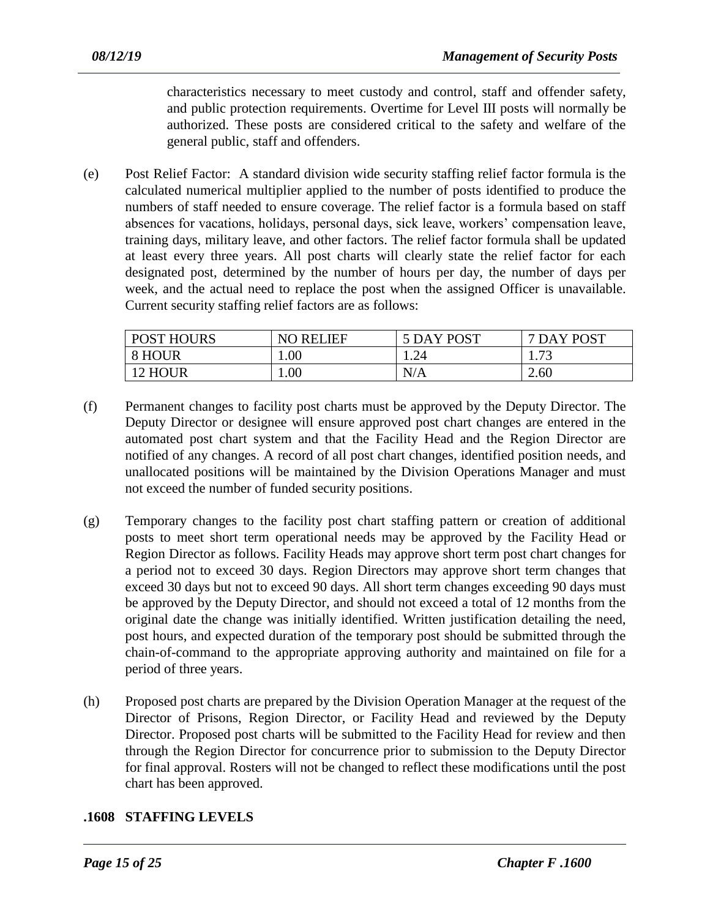characteristics necessary to meet custody and control, staff and offender safety, and public protection requirements. Overtime for Level III posts will normally be authorized. These posts are considered critical to the safety and welfare of the general public, staff and offenders.

(e) Post Relief Factor: A standard division wide security staffing relief factor formula is the calculated numerical multiplier applied to the number of posts identified to produce the numbers of staff needed to ensure coverage. The relief factor is a formula based on staff absences for vacations, holidays, personal days, sick leave, workers' compensation leave, training days, military leave, and other factors. The relief factor formula shall be updated at least every three years. All post charts will clearly state the relief factor for each designated post, determined by the number of hours per day, the number of days per week, and the actual need to replace the post when the assigned Officer is unavailable. Current security staffing relief factors are as follows:

| <b>POST HOURS</b> | <b>NO RELIEF</b> | 5 DAY POST | 7 DAY POST   |
|-------------------|------------------|------------|--------------|
| 8 HOUR            | 1.00             | 1.24       | 72<br>1. I J |
| 12 HOUR           | $1.00\,$         | N/A        | 2.60         |

- (f) Permanent changes to facility post charts must be approved by the Deputy Director. The Deputy Director or designee will ensure approved post chart changes are entered in the automated post chart system and that the Facility Head and the Region Director are notified of any changes. A record of all post chart changes, identified position needs, and unallocated positions will be maintained by the Division Operations Manager and must not exceed the number of funded security positions.
- (g) Temporary changes to the facility post chart staffing pattern or creation of additional posts to meet short term operational needs may be approved by the Facility Head or Region Director as follows. Facility Heads may approve short term post chart changes for a period not to exceed 30 days. Region Directors may approve short term changes that exceed 30 days but not to exceed 90 days. All short term changes exceeding 90 days must be approved by the Deputy Director, and should not exceed a total of 12 months from the original date the change was initially identified. Written justification detailing the need, post hours, and expected duration of the temporary post should be submitted through the chain-of-command to the appropriate approving authority and maintained on file for a period of three years.
- (h) Proposed post charts are prepared by the Division Operation Manager at the request of the Director of Prisons, Region Director, or Facility Head and reviewed by the Deputy Director. Proposed post charts will be submitted to the Facility Head for review and then through the Region Director for concurrence prior to submission to the Deputy Director for final approval. Rosters will not be changed to reflect these modifications until the post chart has been approved.

# **.1608 STAFFING LEVELS**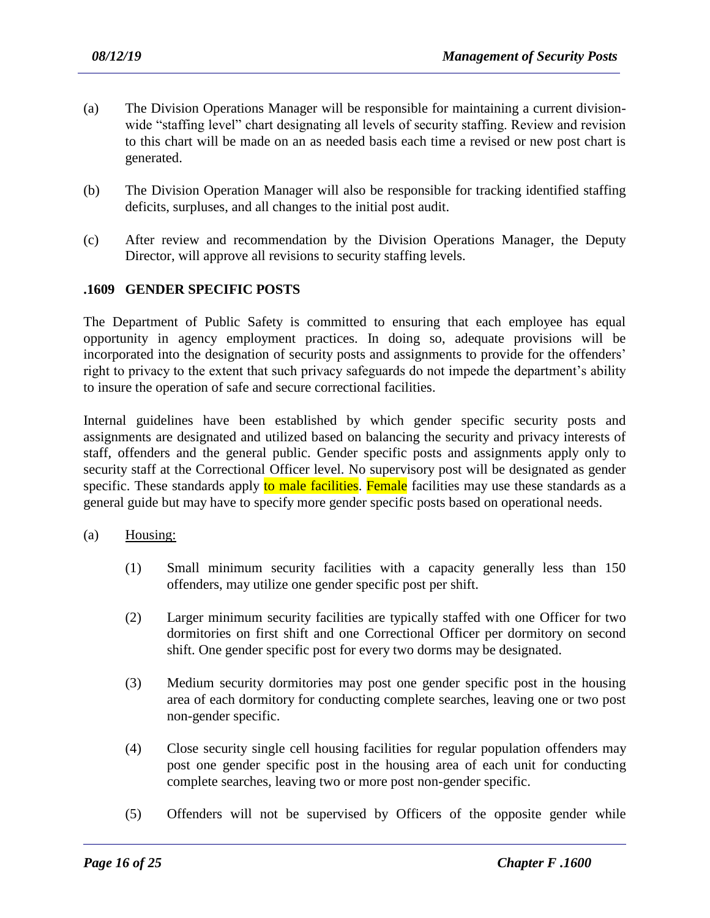- (a) The Division Operations Manager will be responsible for maintaining a current divisionwide "staffing level" chart designating all levels of security staffing. Review and revision to this chart will be made on an as needed basis each time a revised or new post chart is generated.
- (b) The Division Operation Manager will also be responsible for tracking identified staffing deficits, surpluses, and all changes to the initial post audit.
- (c) After review and recommendation by the Division Operations Manager, the Deputy Director, will approve all revisions to security staffing levels.

#### **.1609 GENDER SPECIFIC POSTS**

The Department of Public Safety is committed to ensuring that each employee has equal opportunity in agency employment practices. In doing so, adequate provisions will be incorporated into the designation of security posts and assignments to provide for the offenders' right to privacy to the extent that such privacy safeguards do not impede the department's ability to insure the operation of safe and secure correctional facilities.

Internal guidelines have been established by which gender specific security posts and assignments are designated and utilized based on balancing the security and privacy interests of staff, offenders and the general public. Gender specific posts and assignments apply only to security staff at the Correctional Officer level. No supervisory post will be designated as gender specific. These standards apply to male facilities. Female facilities may use these standards as a general guide but may have to specify more gender specific posts based on operational needs.

- (a) Housing:
	- (1) Small minimum security facilities with a capacity generally less than 150 offenders, may utilize one gender specific post per shift.
	- (2) Larger minimum security facilities are typically staffed with one Officer for two dormitories on first shift and one Correctional Officer per dormitory on second shift. One gender specific post for every two dorms may be designated.
	- (3) Medium security dormitories may post one gender specific post in the housing area of each dormitory for conducting complete searches, leaving one or two post non-gender specific.
	- (4) Close security single cell housing facilities for regular population offenders may post one gender specific post in the housing area of each unit for conducting complete searches, leaving two or more post non-gender specific.
	- (5) Offenders will not be supervised by Officers of the opposite gender while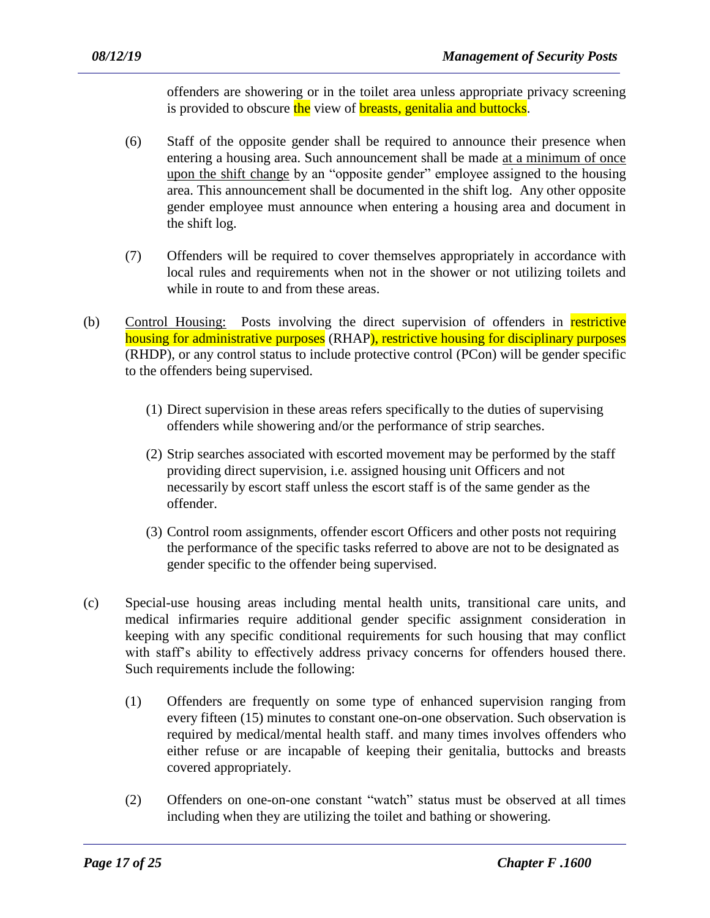offenders are showering or in the toilet area unless appropriate privacy screening is provided to obscure the view of breasts, genitalia and buttocks.

- (6) Staff of the opposite gender shall be required to announce their presence when entering a housing area. Such announcement shall be made at a minimum of once upon the shift change by an "opposite gender" employee assigned to the housing area. This announcement shall be documented in the shift log. Any other opposite gender employee must announce when entering a housing area and document in the shift log.
- (7) Offenders will be required to cover themselves appropriately in accordance with local rules and requirements when not in the shower or not utilizing toilets and while in route to and from these areas.
- (b) Control Housing: Posts involving the direct supervision of offenders in restrictive housing for administrative purposes (RHAP), restrictive housing for disciplinary purposes (RHDP), or any control status to include protective control (PCon) will be gender specific to the offenders being supervised.
	- (1) Direct supervision in these areas refers specifically to the duties of supervising offenders while showering and/or the performance of strip searches.
	- (2) Strip searches associated with escorted movement may be performed by the staff providing direct supervision, i.e. assigned housing unit Officers and not necessarily by escort staff unless the escort staff is of the same gender as the offender.
	- (3) Control room assignments, offender escort Officers and other posts not requiring the performance of the specific tasks referred to above are not to be designated as gender specific to the offender being supervised.
- (c) Special-use housing areas including mental health units, transitional care units, and medical infirmaries require additional gender specific assignment consideration in keeping with any specific conditional requirements for such housing that may conflict with staff's ability to effectively address privacy concerns for offenders housed there. Such requirements include the following:
	- (1) Offenders are frequently on some type of enhanced supervision ranging from every fifteen (15) minutes to constant one-on-one observation. Such observation is required by medical/mental health staff. and many times involves offenders who either refuse or are incapable of keeping their genitalia, buttocks and breasts covered appropriately.
	- (2) Offenders on one-on-one constant "watch" status must be observed at all times including when they are utilizing the toilet and bathing or showering.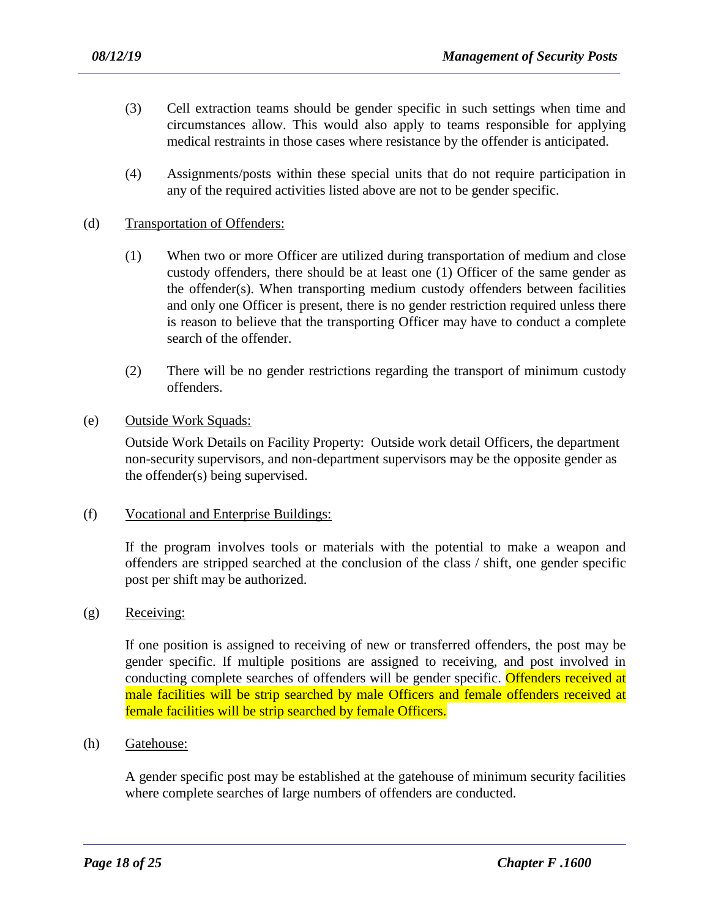- (3) Cell extraction teams should be gender specific in such settings when time and circumstances allow. This would also apply to teams responsible for applying medical restraints in those cases where resistance by the offender is anticipated.
- (4) Assignments/posts within these special units that do not require participation in any of the required activities listed above are not to be gender specific.

#### (d) Transportation of Offenders:

- (1) When two or more Officer are utilized during transportation of medium and close custody offenders, there should be at least one (1) Officer of the same gender as the offender(s). When transporting medium custody offenders between facilities and only one Officer is present, there is no gender restriction required unless there is reason to believe that the transporting Officer may have to conduct a complete search of the offender.
- (2) There will be no gender restrictions regarding the transport of minimum custody offenders.
- (e) Outside Work Squads:

Outside Work Details on Facility Property: Outside work detail Officers, the department non-security supervisors, and non-department supervisors may be the opposite gender as the offender(s) being supervised.

(f) Vocational and Enterprise Buildings:

If the program involves tools or materials with the potential to make a weapon and offenders are stripped searched at the conclusion of the class / shift, one gender specific post per shift may be authorized.

(g) Receiving:

If one position is assigned to receiving of new or transferred offenders, the post may be gender specific. If multiple positions are assigned to receiving, and post involved in conducting complete searches of offenders will be gender specific. Offenders received at male facilities will be strip searched by male Officers and female offenders received at female facilities will be strip searched by female Officers.

(h) Gatehouse:

A gender specific post may be established at the gatehouse of minimum security facilities where complete searches of large numbers of offenders are conducted.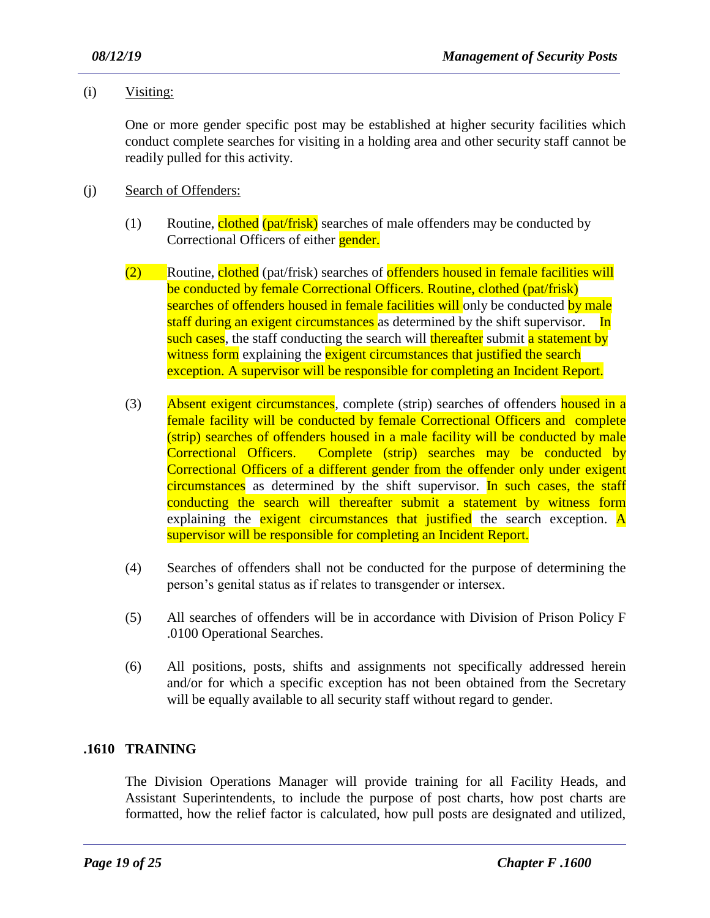(i) Visiting:

One or more gender specific post may be established at higher security facilities which conduct complete searches for visiting in a holding area and other security staff cannot be readily pulled for this activity.

- (j) Search of Offenders:
	- (1) Routine, clothed (pat/frisk) searches of male offenders may be conducted by Correctional Officers of either **gender.**
	- (2) Routine, clothed (pat/frisk) searches of offenders housed in female facilities will be conducted by female Correctional Officers. Routine, clothed (pat/frisk) searches of offenders housed in female facilities will only be conducted by male staff during an exigent circumstances as determined by the shift supervisor. In such cases, the staff conducting the search will thereafter submit a statement by witness form explaining the exigent circumstances that justified the search exception. A supervisor will be responsible for completing an Incident Report.
	- (3) Absent exigent circumstances, complete (strip) searches of offenders housed in a female facility will be conducted by female Correctional Officers and complete (strip) searches of offenders housed in a male facility will be conducted by male Correctional Officers. Complete (strip) searches may be conducted by Correctional Officers of a different gender from the offender only under exigent circumstances as determined by the shift supervisor. In such cases, the staff conducting the search will thereafter submit a statement by witness form explaining the exigent circumstances that justified the search exception.  $\overline{A}$ supervisor will be responsible for completing an Incident Report.
	- (4) Searches of offenders shall not be conducted for the purpose of determining the person's genital status as if relates to transgender or intersex.
	- (5) All searches of offenders will be in accordance with Division of Prison Policy F .0100 Operational Searches.
	- (6) All positions, posts, shifts and assignments not specifically addressed herein and/or for which a specific exception has not been obtained from the Secretary will be equally available to all security staff without regard to gender.

# **.1610 TRAINING**

The Division Operations Manager will provide training for all Facility Heads, and Assistant Superintendents, to include the purpose of post charts, how post charts are formatted, how the relief factor is calculated, how pull posts are designated and utilized,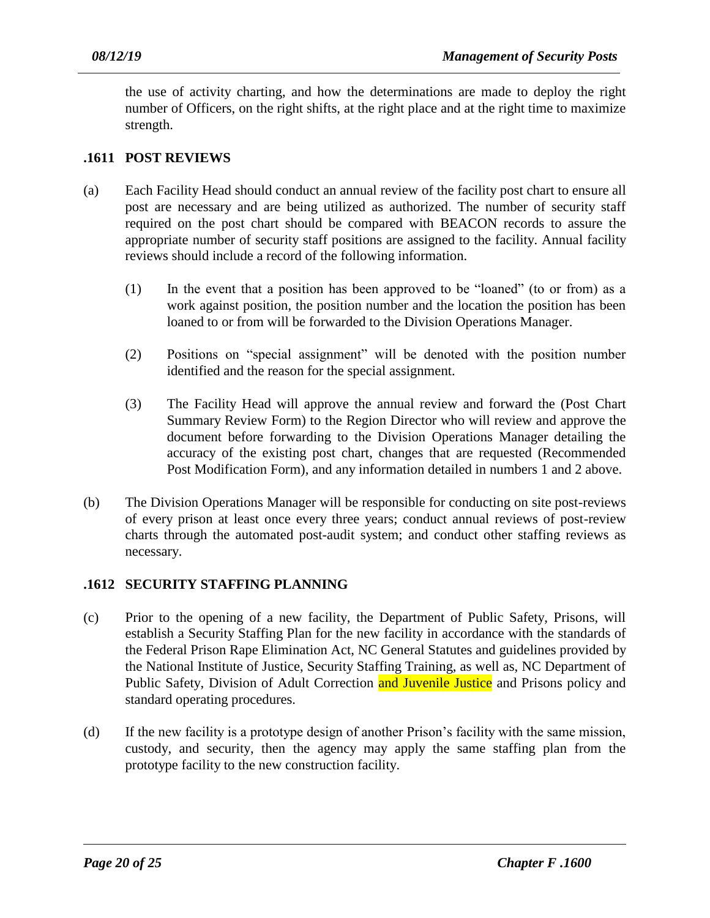the use of activity charting, and how the determinations are made to deploy the right number of Officers, on the right shifts, at the right place and at the right time to maximize strength.

#### **.1611 POST REVIEWS**

- (a) Each Facility Head should conduct an annual review of the facility post chart to ensure all post are necessary and are being utilized as authorized. The number of security staff required on the post chart should be compared with BEACON records to assure the appropriate number of security staff positions are assigned to the facility. Annual facility reviews should include a record of the following information.
	- (1) In the event that a position has been approved to be "loaned" (to or from) as a work against position, the position number and the location the position has been loaned to or from will be forwarded to the Division Operations Manager.
	- (2) Positions on "special assignment" will be denoted with the position number identified and the reason for the special assignment.
	- (3) The Facility Head will approve the annual review and forward the (Post Chart Summary Review Form) to the Region Director who will review and approve the document before forwarding to the Division Operations Manager detailing the accuracy of the existing post chart, changes that are requested (Recommended Post Modification Form), and any information detailed in numbers 1 and 2 above.
- (b) The Division Operations Manager will be responsible for conducting on site post-reviews of every prison at least once every three years; conduct annual reviews of post-review charts through the automated post-audit system; and conduct other staffing reviews as necessary.

# **.1612 SECURITY STAFFING PLANNING**

- (c) Prior to the opening of a new facility, the Department of Public Safety, Prisons, will establish a Security Staffing Plan for the new facility in accordance with the standards of the Federal Prison Rape Elimination Act, NC General Statutes and guidelines provided by the National Institute of Justice, Security Staffing Training, as well as, NC Department of Public Safety, Division of Adult Correction and Juvenile Justice and Prisons policy and standard operating procedures.
- (d) If the new facility is a prototype design of another Prison's facility with the same mission, custody, and security, then the agency may apply the same staffing plan from the prototype facility to the new construction facility.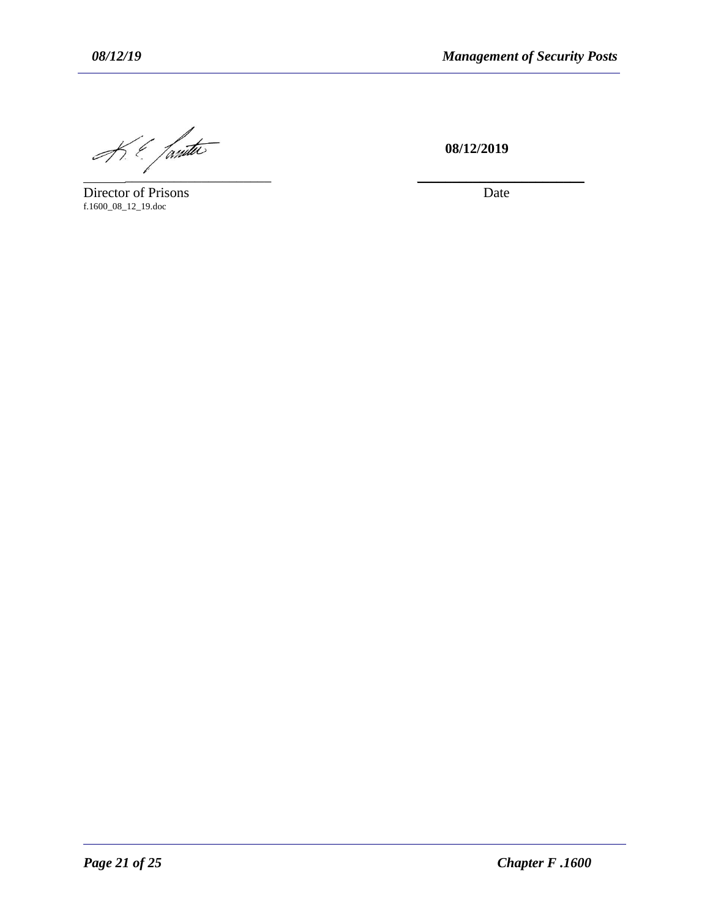$\frac{1}{2\pi}\int_{\frac{1}{2\pi}}\frac{1}{\sqrt{1-\frac{1}{2\pi}}}}$  08/12/2019

Director of Prisons f.1600\_08\_12\_19.doc

 **08/12/2019**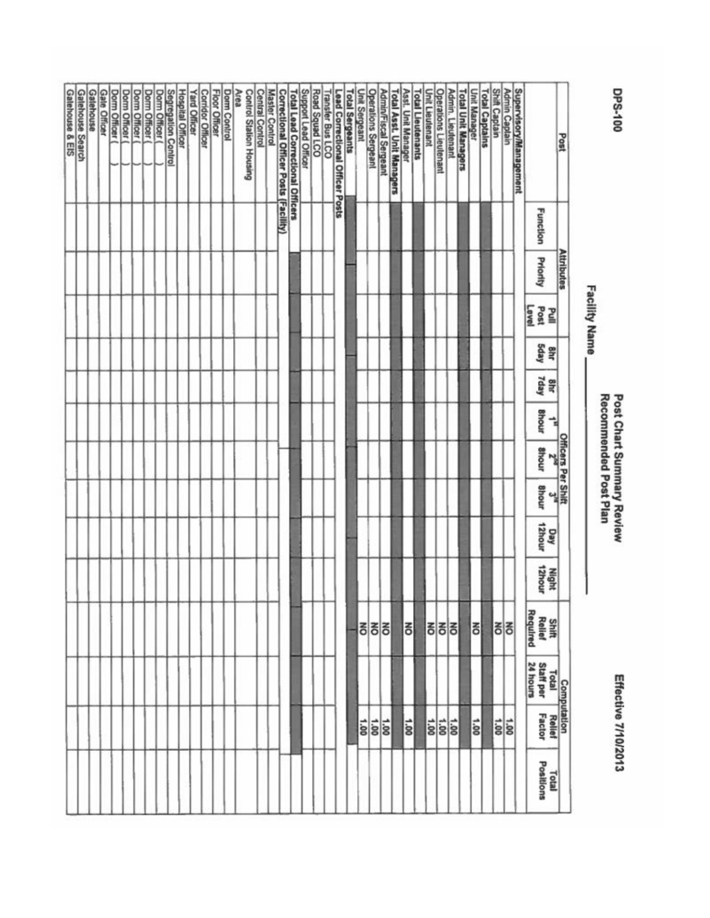| Supervisory/Management<br>Galehouse & EIS<br><b>Shift Captain</b><br><b>Central Control</b><br>Support Lead Officer<br>Road Squad LCO<br>Unit Lieutenant<br><b>Operations Lieutenant</b><br>Unit Manager<br><b>Total Captains</b><br><b>Admin Captain</b><br>Galehouse Search<br>Galehouse<br><b>Gale Officer</b><br>Segregation Control<br><b>Floor Officer</b><br><b>Dorm Control</b><br>Area<br><b>Master Control</b><br>Unit Sergeant<br><b>Operations Sergeant</b><br>Admin/Fiscal Sergeant<br>Asst. Unit Manager<br><b>Admin. Lieutenant</b><br><b>Total Unit Managers</b><br>Dorm Officer (<br>Dorm Officer (<br>Hospital Officer<br>Control Station Housing<br>Correctional Officer Posts (Facility)<br><b>Total Lead Correctional Officers</b><br><b>Total Sergeants</b><br><b>Total Asst. Unit Managers</b><br><b>Total Lieutenants</b><br>Dorm Officer (<br>Dorm Officer<br>Dom Officer<br><b>Yard Officer</b><br><b>Corridor Officer</b><br>Transfer Bus LCO<br>Lead Correctional Officer Posts<br>Post<br><b>Function</b><br><b>Attributes</b><br>Priority<br>Level<br>Post<br>킽<br>Sday<br>咢<br>Tday<br>ahr<br><b>Bhour</b><br>⊰<br><b>Officers Per Shift</b><br><b>Shour</b><br>$\mathbf{r}$<br><b>Bhour</b><br>$\frac{1}{2}$<br>12hour<br>Vay<br>Night<br>12hour<br>Shift<br>Rellef<br>Required<br>종<br><b>PO</b><br>종<br>õ<br>히<br>종종<br>Computation<br>Staff per<br>24 hours<br>24 hours<br>$rac{1.00}{1.00}$<br>1.00<br>$rac{1}{20}$<br>1.00<br>1.00<br>ã0<br>$rac{1}{8}$<br>Positions<br>Total |  | <b>Facility Name</b> |  |  |  |  |  |  |
|--------------------------------------------------------------------------------------------------------------------------------------------------------------------------------------------------------------------------------------------------------------------------------------------------------------------------------------------------------------------------------------------------------------------------------------------------------------------------------------------------------------------------------------------------------------------------------------------------------------------------------------------------------------------------------------------------------------------------------------------------------------------------------------------------------------------------------------------------------------------------------------------------------------------------------------------------------------------------------------------------------------------------------------------------------------------------------------------------------------------------------------------------------------------------------------------------------------------------------------------------------------------------------------------------------------------------------------------------------------------------------------------------------------------------------------------------------------------------------------------------------------------|--|----------------------|--|--|--|--|--|--|
|                                                                                                                                                                                                                                                                                                                                                                                                                                                                                                                                                                                                                                                                                                                                                                                                                                                                                                                                                                                                                                                                                                                                                                                                                                                                                                                                                                                                                                                                                                                    |  |                      |  |  |  |  |  |  |
|                                                                                                                                                                                                                                                                                                                                                                                                                                                                                                                                                                                                                                                                                                                                                                                                                                                                                                                                                                                                                                                                                                                                                                                                                                                                                                                                                                                                                                                                                                                    |  |                      |  |  |  |  |  |  |
|                                                                                                                                                                                                                                                                                                                                                                                                                                                                                                                                                                                                                                                                                                                                                                                                                                                                                                                                                                                                                                                                                                                                                                                                                                                                                                                                                                                                                                                                                                                    |  |                      |  |  |  |  |  |  |
|                                                                                                                                                                                                                                                                                                                                                                                                                                                                                                                                                                                                                                                                                                                                                                                                                                                                                                                                                                                                                                                                                                                                                                                                                                                                                                                                                                                                                                                                                                                    |  |                      |  |  |  |  |  |  |
|                                                                                                                                                                                                                                                                                                                                                                                                                                                                                                                                                                                                                                                                                                                                                                                                                                                                                                                                                                                                                                                                                                                                                                                                                                                                                                                                                                                                                                                                                                                    |  |                      |  |  |  |  |  |  |
|                                                                                                                                                                                                                                                                                                                                                                                                                                                                                                                                                                                                                                                                                                                                                                                                                                                                                                                                                                                                                                                                                                                                                                                                                                                                                                                                                                                                                                                                                                                    |  |                      |  |  |  |  |  |  |
|                                                                                                                                                                                                                                                                                                                                                                                                                                                                                                                                                                                                                                                                                                                                                                                                                                                                                                                                                                                                                                                                                                                                                                                                                                                                                                                                                                                                                                                                                                                    |  |                      |  |  |  |  |  |  |
|                                                                                                                                                                                                                                                                                                                                                                                                                                                                                                                                                                                                                                                                                                                                                                                                                                                                                                                                                                                                                                                                                                                                                                                                                                                                                                                                                                                                                                                                                                                    |  |                      |  |  |  |  |  |  |
|                                                                                                                                                                                                                                                                                                                                                                                                                                                                                                                                                                                                                                                                                                                                                                                                                                                                                                                                                                                                                                                                                                                                                                                                                                                                                                                                                                                                                                                                                                                    |  |                      |  |  |  |  |  |  |
|                                                                                                                                                                                                                                                                                                                                                                                                                                                                                                                                                                                                                                                                                                                                                                                                                                                                                                                                                                                                                                                                                                                                                                                                                                                                                                                                                                                                                                                                                                                    |  |                      |  |  |  |  |  |  |
|                                                                                                                                                                                                                                                                                                                                                                                                                                                                                                                                                                                                                                                                                                                                                                                                                                                                                                                                                                                                                                                                                                                                                                                                                                                                                                                                                                                                                                                                                                                    |  |                      |  |  |  |  |  |  |
|                                                                                                                                                                                                                                                                                                                                                                                                                                                                                                                                                                                                                                                                                                                                                                                                                                                                                                                                                                                                                                                                                                                                                                                                                                                                                                                                                                                                                                                                                                                    |  |                      |  |  |  |  |  |  |
|                                                                                                                                                                                                                                                                                                                                                                                                                                                                                                                                                                                                                                                                                                                                                                                                                                                                                                                                                                                                                                                                                                                                                                                                                                                                                                                                                                                                                                                                                                                    |  |                      |  |  |  |  |  |  |
|                                                                                                                                                                                                                                                                                                                                                                                                                                                                                                                                                                                                                                                                                                                                                                                                                                                                                                                                                                                                                                                                                                                                                                                                                                                                                                                                                                                                                                                                                                                    |  |                      |  |  |  |  |  |  |
|                                                                                                                                                                                                                                                                                                                                                                                                                                                                                                                                                                                                                                                                                                                                                                                                                                                                                                                                                                                                                                                                                                                                                                                                                                                                                                                                                                                                                                                                                                                    |  |                      |  |  |  |  |  |  |
|                                                                                                                                                                                                                                                                                                                                                                                                                                                                                                                                                                                                                                                                                                                                                                                                                                                                                                                                                                                                                                                                                                                                                                                                                                                                                                                                                                                                                                                                                                                    |  |                      |  |  |  |  |  |  |
|                                                                                                                                                                                                                                                                                                                                                                                                                                                                                                                                                                                                                                                                                                                                                                                                                                                                                                                                                                                                                                                                                                                                                                                                                                                                                                                                                                                                                                                                                                                    |  |                      |  |  |  |  |  |  |
|                                                                                                                                                                                                                                                                                                                                                                                                                                                                                                                                                                                                                                                                                                                                                                                                                                                                                                                                                                                                                                                                                                                                                                                                                                                                                                                                                                                                                                                                                                                    |  |                      |  |  |  |  |  |  |
|                                                                                                                                                                                                                                                                                                                                                                                                                                                                                                                                                                                                                                                                                                                                                                                                                                                                                                                                                                                                                                                                                                                                                                                                                                                                                                                                                                                                                                                                                                                    |  |                      |  |  |  |  |  |  |
|                                                                                                                                                                                                                                                                                                                                                                                                                                                                                                                                                                                                                                                                                                                                                                                                                                                                                                                                                                                                                                                                                                                                                                                                                                                                                                                                                                                                                                                                                                                    |  |                      |  |  |  |  |  |  |
|                                                                                                                                                                                                                                                                                                                                                                                                                                                                                                                                                                                                                                                                                                                                                                                                                                                                                                                                                                                                                                                                                                                                                                                                                                                                                                                                                                                                                                                                                                                    |  |                      |  |  |  |  |  |  |
|                                                                                                                                                                                                                                                                                                                                                                                                                                                                                                                                                                                                                                                                                                                                                                                                                                                                                                                                                                                                                                                                                                                                                                                                                                                                                                                                                                                                                                                                                                                    |  |                      |  |  |  |  |  |  |
|                                                                                                                                                                                                                                                                                                                                                                                                                                                                                                                                                                                                                                                                                                                                                                                                                                                                                                                                                                                                                                                                                                                                                                                                                                                                                                                                                                                                                                                                                                                    |  |                      |  |  |  |  |  |  |
|                                                                                                                                                                                                                                                                                                                                                                                                                                                                                                                                                                                                                                                                                                                                                                                                                                                                                                                                                                                                                                                                                                                                                                                                                                                                                                                                                                                                                                                                                                                    |  |                      |  |  |  |  |  |  |
|                                                                                                                                                                                                                                                                                                                                                                                                                                                                                                                                                                                                                                                                                                                                                                                                                                                                                                                                                                                                                                                                                                                                                                                                                                                                                                                                                                                                                                                                                                                    |  |                      |  |  |  |  |  |  |
|                                                                                                                                                                                                                                                                                                                                                                                                                                                                                                                                                                                                                                                                                                                                                                                                                                                                                                                                                                                                                                                                                                                                                                                                                                                                                                                                                                                                                                                                                                                    |  |                      |  |  |  |  |  |  |
|                                                                                                                                                                                                                                                                                                                                                                                                                                                                                                                                                                                                                                                                                                                                                                                                                                                                                                                                                                                                                                                                                                                                                                                                                                                                                                                                                                                                                                                                                                                    |  |                      |  |  |  |  |  |  |
|                                                                                                                                                                                                                                                                                                                                                                                                                                                                                                                                                                                                                                                                                                                                                                                                                                                                                                                                                                                                                                                                                                                                                                                                                                                                                                                                                                                                                                                                                                                    |  |                      |  |  |  |  |  |  |
|                                                                                                                                                                                                                                                                                                                                                                                                                                                                                                                                                                                                                                                                                                                                                                                                                                                                                                                                                                                                                                                                                                                                                                                                                                                                                                                                                                                                                                                                                                                    |  |                      |  |  |  |  |  |  |
|                                                                                                                                                                                                                                                                                                                                                                                                                                                                                                                                                                                                                                                                                                                                                                                                                                                                                                                                                                                                                                                                                                                                                                                                                                                                                                                                                                                                                                                                                                                    |  |                      |  |  |  |  |  |  |
|                                                                                                                                                                                                                                                                                                                                                                                                                                                                                                                                                                                                                                                                                                                                                                                                                                                                                                                                                                                                                                                                                                                                                                                                                                                                                                                                                                                                                                                                                                                    |  |                      |  |  |  |  |  |  |
|                                                                                                                                                                                                                                                                                                                                                                                                                                                                                                                                                                                                                                                                                                                                                                                                                                                                                                                                                                                                                                                                                                                                                                                                                                                                                                                                                                                                                                                                                                                    |  |                      |  |  |  |  |  |  |
|                                                                                                                                                                                                                                                                                                                                                                                                                                                                                                                                                                                                                                                                                                                                                                                                                                                                                                                                                                                                                                                                                                                                                                                                                                                                                                                                                                                                                                                                                                                    |  |                      |  |  |  |  |  |  |
|                                                                                                                                                                                                                                                                                                                                                                                                                                                                                                                                                                                                                                                                                                                                                                                                                                                                                                                                                                                                                                                                                                                                                                                                                                                                                                                                                                                                                                                                                                                    |  |                      |  |  |  |  |  |  |
|                                                                                                                                                                                                                                                                                                                                                                                                                                                                                                                                                                                                                                                                                                                                                                                                                                                                                                                                                                                                                                                                                                                                                                                                                                                                                                                                                                                                                                                                                                                    |  |                      |  |  |  |  |  |  |
|                                                                                                                                                                                                                                                                                                                                                                                                                                                                                                                                                                                                                                                                                                                                                                                                                                                                                                                                                                                                                                                                                                                                                                                                                                                                                                                                                                                                                                                                                                                    |  |                      |  |  |  |  |  |  |
|                                                                                                                                                                                                                                                                                                                                                                                                                                                                                                                                                                                                                                                                                                                                                                                                                                                                                                                                                                                                                                                                                                                                                                                                                                                                                                                                                                                                                                                                                                                    |  |                      |  |  |  |  |  |  |
|                                                                                                                                                                                                                                                                                                                                                                                                                                                                                                                                                                                                                                                                                                                                                                                                                                                                                                                                                                                                                                                                                                                                                                                                                                                                                                                                                                                                                                                                                                                    |  |                      |  |  |  |  |  |  |
|                                                                                                                                                                                                                                                                                                                                                                                                                                                                                                                                                                                                                                                                                                                                                                                                                                                                                                                                                                                                                                                                                                                                                                                                                                                                                                                                                                                                                                                                                                                    |  |                      |  |  |  |  |  |  |
|                                                                                                                                                                                                                                                                                                                                                                                                                                                                                                                                                                                                                                                                                                                                                                                                                                                                                                                                                                                                                                                                                                                                                                                                                                                                                                                                                                                                                                                                                                                    |  |                      |  |  |  |  |  |  |
|                                                                                                                                                                                                                                                                                                                                                                                                                                                                                                                                                                                                                                                                                                                                                                                                                                                                                                                                                                                                                                                                                                                                                                                                                                                                                                                                                                                                                                                                                                                    |  |                      |  |  |  |  |  |  |
|                                                                                                                                                                                                                                                                                                                                                                                                                                                                                                                                                                                                                                                                                                                                                                                                                                                                                                                                                                                                                                                                                                                                                                                                                                                                                                                                                                                                                                                                                                                    |  |                      |  |  |  |  |  |  |

Post Chart Summary Review<br>Recommended Post Plan

Effective 7/10/2013

DPS-100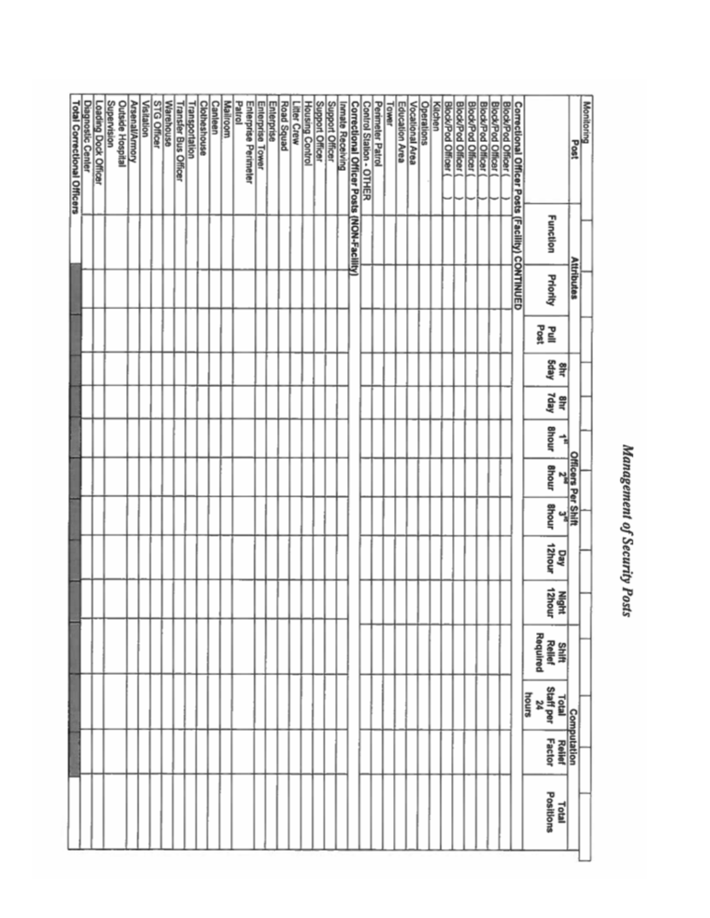# Management of Security Posts

| <b>Total Correctional Officers</b> | <b>Diagnostic Center</b> | Loading Dock Officer | Supervision<br>Outside Hospital | <b>Arsenal/Armory</b> | Visitation | STG Officer | Warehouse | <b>Transfer Bus Officer</b> | Transportation | Clotheshouse | Canleen | <b>Mailroom</b> | Patrol<br>Enlerprise Perimeler | Enterprise Tower | Enterprise | <b>Road Squad</b> | Litter Crew | <b>Housing Control</b> | Support Officer | Support Officer | Inmate Receiving | Correctional Officer Posts (NON-Facility) | Control Station - OTHER | Perimeter Patrol | Tower | Education Area | Vocational Area | Operations | Kitchen | <b>Block/Pod Officer</b> | <b>Block/Pod Officer</b> | <b>Block/Pod Officer</b> | <b>Block/Pod Officer</b> | <b>Block/Pod Officer</b> | <b>Block/Pod Officer</b> | Correctional Officer Posts (Facility) CONTINUED |          |                          |                           | Monitoring<br>Post |  |
|------------------------------------|--------------------------|----------------------|---------------------------------|-----------------------|------------|-------------|-----------|-----------------------------|----------------|--------------|---------|-----------------|--------------------------------|------------------|------------|-------------------|-------------|------------------------|-----------------|-----------------|------------------|-------------------------------------------|-------------------------|------------------|-------|----------------|-----------------|------------|---------|--------------------------|--------------------------|--------------------------|--------------------------|--------------------------|--------------------------|-------------------------------------------------|----------|--------------------------|---------------------------|--------------------|--|
|                                    |                          |                      |                                 |                       |            |             |           |                             |                |              |         |                 |                                |                  |            |                   |             |                        |                 |                 |                  |                                           |                         |                  |       |                |                 |            |         |                          |                          |                          |                          |                          |                          |                                                 |          | <b>Function</b>          |                           |                    |  |
|                                    |                          |                      |                                 |                       |            |             |           |                             |                |              |         |                 |                                |                  |            |                   |             |                        |                 |                 |                  |                                           |                         |                  |       |                |                 |            |         |                          |                          |                          |                          |                          |                          |                                                 |          | Priority                 | <b>Attributes</b>         |                    |  |
|                                    |                          |                      |                                 |                       |            |             |           |                             |                |              |         |                 |                                |                  |            |                   |             |                        |                 |                 |                  |                                           |                         |                  |       |                |                 |            |         |                          |                          |                          |                          |                          |                          |                                                 |          | 모들                       |                           |                    |  |
|                                    |                          |                      |                                 |                       |            |             |           |                             |                |              |         |                 |                                |                  |            |                   |             |                        |                 |                 |                  |                                           |                         |                  |       |                |                 |            |         |                          |                          |                          |                          |                          |                          |                                                 |          | Sday<br>2Hz              |                           |                    |  |
|                                    |                          |                      |                                 |                       |            |             |           |                             |                |              |         |                 |                                |                  |            |                   |             |                        |                 |                 |                  |                                           |                         |                  |       |                |                 |            |         |                          |                          |                          |                          |                          |                          |                                                 |          | Yday<br>Shi              |                           |                    |  |
|                                    |                          |                      |                                 |                       |            |             |           |                             |                |              |         |                 |                                |                  |            |                   |             |                        |                 |                 |                  |                                           |                         |                  |       |                |                 |            |         |                          |                          |                          |                          |                          |                          |                                                 |          | <b>Bhour</b><br>⊰        |                           |                    |  |
|                                    |                          |                      |                                 |                       |            |             |           |                             |                |              |         |                 |                                |                  |            |                   |             |                        |                 |                 |                  |                                           |                         |                  |       |                |                 |            |         |                          |                          |                          |                          |                          |                          |                                                 |          | <b>Bhour</b><br>십        | <b>Officers Per Shift</b> |                    |  |
|                                    |                          |                      |                                 |                       |            |             |           |                             |                |              |         |                 |                                |                  |            |                   |             |                        |                 |                 |                  |                                           |                         |                  |       |                |                 |            |         |                          |                          |                          |                          |                          |                          |                                                 |          | <b>Bhour</b><br>ៀ        |                           |                    |  |
|                                    |                          |                      |                                 |                       |            |             |           |                             |                |              |         |                 |                                |                  |            |                   |             |                        |                 |                 |                  |                                           |                         |                  |       |                |                 |            |         |                          |                          |                          |                          |                          |                          |                                                 |          | 12hour<br>Day            |                           |                    |  |
|                                    |                          |                      |                                 |                       |            |             |           |                             |                |              |         |                 |                                |                  |            |                   |             |                        |                 |                 |                  |                                           |                         |                  |       |                |                 |            |         |                          |                          |                          |                          |                          |                          |                                                 |          | 12hour<br>Night          |                           |                    |  |
|                                    |                          |                      |                                 |                       |            |             |           |                             |                |              |         |                 |                                |                  |            |                   |             |                        |                 |                 |                  |                                           |                         |                  |       |                |                 |            |         |                          |                          |                          |                          |                          |                          |                                                 | Required | Shift<br>Relief          |                           |                    |  |
|                                    |                          |                      |                                 |                       |            |             |           |                             |                |              |         |                 |                                |                  |            |                   |             |                        |                 |                 |                  |                                           |                         |                  |       |                |                 |            |         |                          |                          |                          |                          |                          |                          |                                                 | hours    | Staff per<br>24<br>Total |                           |                    |  |
|                                    |                          |                      |                                 |                       |            |             |           |                             |                |              |         |                 |                                |                  |            |                   |             |                        |                 |                 |                  |                                           |                         |                  |       |                |                 |            |         |                          |                          |                          |                          |                          |                          |                                                 |          | Relief<br>Factor         | Computation               |                    |  |
|                                    |                          |                      |                                 |                       |            |             |           |                             |                |              |         |                 |                                |                  |            |                   |             |                        |                 |                 |                  |                                           |                         |                  |       |                |                 |            |         |                          |                          |                          |                          |                          |                          |                                                 |          | Positions<br>Total       |                           |                    |  |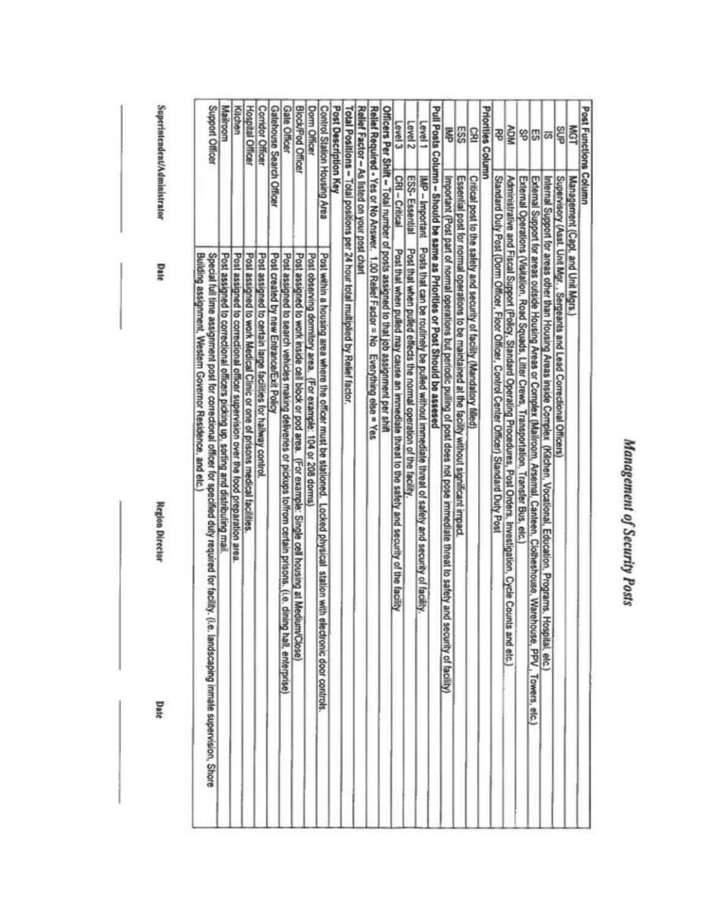| ı |
|---|
|   |
|   |
|   |
|   |
| ì |
|   |
| v |
|   |
| ł |
|   |
|   |
| r |
|   |
|   |
|   |
|   |

|                          | Post Functions Column                                                                                                                                             |                                           |
|--------------------------|-------------------------------------------------------------------------------------------------------------------------------------------------------------------|-------------------------------------------|
| <b>ISM</b>               | Management (Capt. and Unit Mgrs.)                                                                                                                                 |                                           |
| SUP                      | Supervisory (Asst. Unit Mgr., Sergeants and Lead Correctional Officers)                                                                                           |                                           |
| $\overline{\omega}$      | Internal Support for areas other than Housing Areas inside Complex (Kilchen, Vocational, Education, Programs, I                                                   | lospital, elc.                            |
| 위없                       | External Support for areas outside Housing Areas or Complex (Mailroom, Arsemal, Canteen, Clotheshouse, Ware                                                       | house, PPV, Towers, etc.)                 |
|                          | External Operations (Visitation, Road Squads, Litter Crews, Transportation, Transfer Bus, etc.                                                                    |                                           |
| NON                      | Administrative and Fiscal Support (Policy, Standard Operating Procedures, Post Orders, Investigation, Cycle Counts and etc.)                                      |                                           |
| 祒                        | Slandard Duty Post (Dorm Officer, Floor Officer, Control Center Officer) Slandard Duty Post                                                                       |                                           |
| Priorities               | Column                                                                                                                                                            |                                           |
| 53                       | Critical post to the safely and security of facility (Mandatory filled)                                                                                           |                                           |
| ESS                      | Essential post for normal operations to be maintained at the facility without significant impact                                                                  |                                           |
| 톸                        | mportant (Post part of normal operations but periodic pulling of post does not pose immediate threat to safety and                                                | security of facility)                     |
|                          | Pull Posts Column - Should be same as Priorities or Post Should be assessed                                                                                       |                                           |
| Level 1                  | IMP - Important<br>Posts that can be routinely be pulled without immediate threat of safety and security of facility                                              |                                           |
| Level <sub>2</sub>       | ESS-Essential<br>Post that when pulled effects the normal operation of the facility                                                                               |                                           |
| Level 3                  | CRI-Critical<br>Post that when pulled may cause an immediate threat to the safety and security of the facility                                                    |                                           |
|                          | Officers Per Shift - Total number of posts assigned to that job assignment per shift                                                                              |                                           |
|                          | Rellef Required - Yes or No Answer. 1.00 Relief Factor = No Everything else = Yes                                                                                 |                                           |
|                          | Relief Factor - As listed on your post chart                                                                                                                      |                                           |
|                          | Total Positions - Total positions per 24 hour total multiplied by Relief factor.                                                                                  |                                           |
| Post Description Key     |                                                                                                                                                                   |                                           |
|                          | Control Station Housing Area<br>Post within a housing area where the officer must be stationed. Locked physical station with                                      | electronic door controls.                 |
| Dorm Officer             | Post observing dormitory area. (For example: 104 or 208 dorms)                                                                                                    |                                           |
| <b>Block/Pod Officer</b> | Post assigned to work inside cell block or pod area. (For example: Single cell housing at Med                                                                     | ium/Close)                                |
| Gale Officer             | Post assigned to search vehicles making deliveries or pickups toffrom certain prisons. (i.e. dini                                                                 | ng hall, enterprise)                      |
| Gatehouse Search Officer | Post created by new Entrance/Exit Policy                                                                                                                          |                                           |
| <b>Corridor Officer</b>  | Post assigned to certain large facilities for hallway control                                                                                                     |                                           |
| <b>Hospital Officer</b>  | Post assigned to work Medical Clinic or one of prisons medical facilities.                                                                                        |                                           |
| Kilchen                  | Post assigned to correctional officer supervision over the food preparation area                                                                                  |                                           |
| Mailroom                 | Post assigned to correctional officers picking up, sorting and distributing mail                                                                                  |                                           |
| Support Officer          | Special full time assignment post for correctional officer for specified duty required for facility.<br>Building assignment, Western Governor Residence, and etc. | Le. landscaping inmale supervision, Shore |

Superintendent/Administrator

Date

**Region Director** 

Date